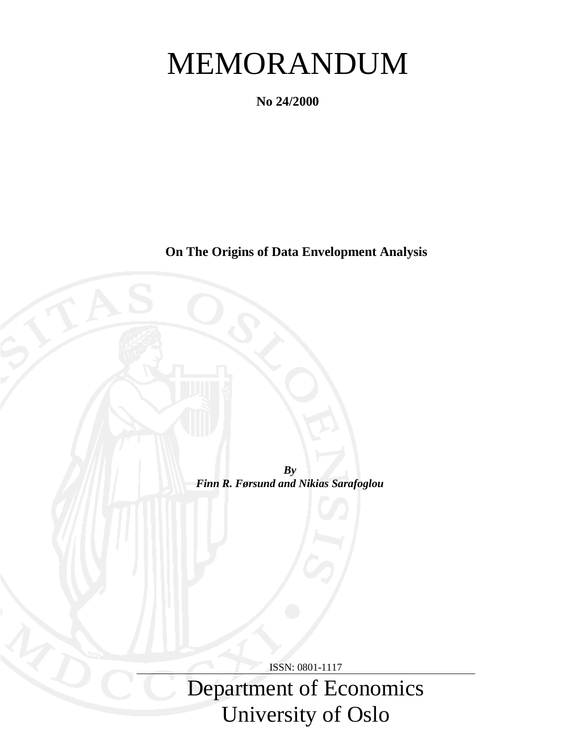# MEMORANDUM

**No 24/2000**

**On The Origins of Data Envelopment Analysis**

*By Finn R. Førsund and Nikias Sarafoglou*

ISSN: 0801-1117

Department of Economics University of Oslo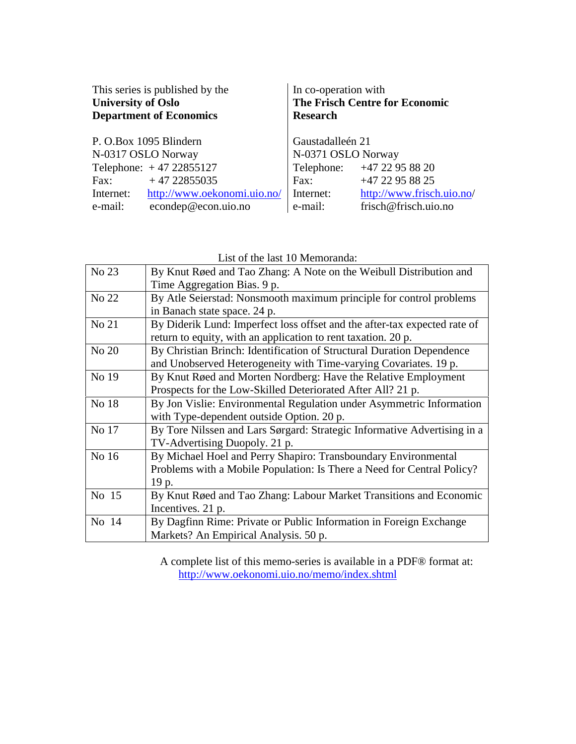| This series is published by the | In co-operation with                  |  |
|---------------------------------|---------------------------------------|--|
| <b>University of Oslo</b>       | <b>The Frisch Centre for Economic</b> |  |
| <b>Department of Economics</b>  | <b>Research</b>                       |  |
| P. O.Box 1095 Blindern          | Gaustadalleén 21                      |  |
| N-0317 OSLO Norway              | N-0371 OSLO Norway                    |  |
| Telephone: $+47 22855127$       | Telephone: +47 22 95 88 20            |  |
| $+4722855035$                   | +47 22 95 88 25                       |  |
| Fax:                            | Fax:                                  |  |
| http://www.oekonomi.uio.no/     | http://www.frisch.uio.no/             |  |
| Internet:                       | Internet:                             |  |
| econdep@econ.uio.no             | e-mail:                               |  |
| e-mail:                         | frisch@frisch.uio.no                  |  |

List of the last 10 Memoranda:

| No 23 | By Knut Røed and Tao Zhang: A Note on the Weibull Distribution and        |  |
|-------|---------------------------------------------------------------------------|--|
|       | Time Aggregation Bias. 9 p.                                               |  |
| No 22 | By Atle Seierstad: Nonsmooth maximum principle for control problems       |  |
|       | in Banach state space. 24 p.                                              |  |
| No 21 | By Diderik Lund: Imperfect loss offset and the after-tax expected rate of |  |
|       | return to equity, with an application to rent taxation. 20 p.             |  |
| No 20 | By Christian Brinch: Identification of Structural Duration Dependence     |  |
|       | and Unobserved Heterogeneity with Time-varying Covariates. 19 p.          |  |
| No 19 | By Knut Røed and Morten Nordberg: Have the Relative Employment            |  |
|       | Prospects for the Low-Skilled Deteriorated After All? 21 p.               |  |
| No 18 | By Jon Vislie: Environmental Regulation under Asymmetric Information      |  |
|       | with Type-dependent outside Option. 20 p.                                 |  |
| No 17 | By Tore Nilssen and Lars Sørgard: Strategic Informative Advertising in a  |  |
|       | TV-Advertising Duopoly. 21 p.                                             |  |
| No 16 | By Michael Hoel and Perry Shapiro: Transboundary Environmental            |  |
|       | Problems with a Mobile Population: Is There a Need for Central Policy?    |  |
|       | 19 p.                                                                     |  |
| No 15 | By Knut Røed and Tao Zhang: Labour Market Transitions and Economic        |  |
|       | Incentives. 21 p.                                                         |  |
| No 14 | By Dagfinn Rime: Private or Public Information in Foreign Exchange        |  |
|       | Markets? An Empirical Analysis. 50 p.                                     |  |

A complete list of this memo-series is available in a PDF® format at: http://www.oekonomi.uio.no/memo/index.shtml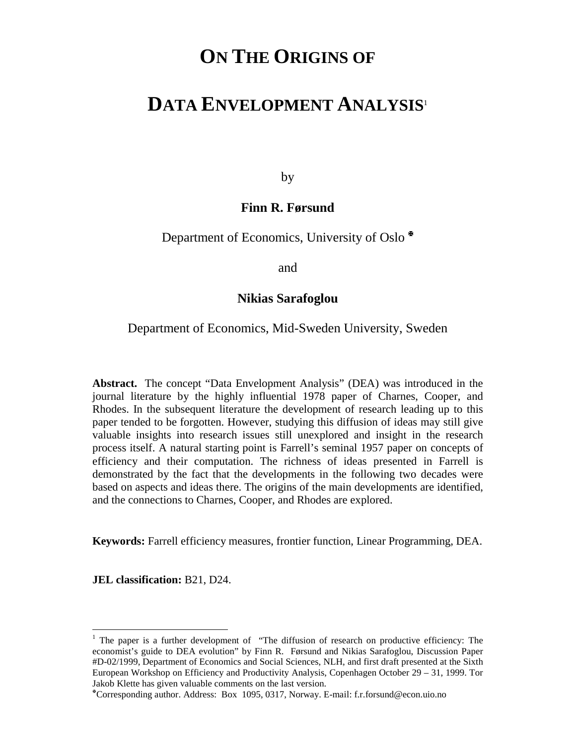# **ON THE ORIGINS OF**

# **DATA ENVELOPMENT ANALYSIS**<sup>1</sup>

by

# **Finn R. Førsund**

Department of Economics, University of Oslo

and

# **Nikias Sarafoglou**

# Department of Economics, Mid-Sweden University, Sweden

**Abstract.** The concept "Data Envelopment Analysis" (DEA) was introduced in the journal literature by the highly influential 1978 paper of Charnes, Cooper, and Rhodes. In the subsequent literature the development of research leading up to this paper tended to be forgotten. However, studying this diffusion of ideas may still give valuable insights into research issues still unexplored and insight in the research process itself. A natural starting point is Farrell's seminal 1957 paper on concepts of efficiency and their computation. The richness of ideas presented in Farrell is demonstrated by the fact that the developments in the following two decades were based on aspects and ideas there. The origins of the main developments are identified, and the connections to Charnes, Cooper, and Rhodes are explored.

**Keywords:** Farrell efficiency measures, frontier function, Linear Programming, DEA.

**JEL classification:** B21, D24.

<sup>&</sup>lt;sup>1</sup> The paper is a further development of "The diffusion of research on productive efficiency: The economist's guide to DEA evolution" by Finn R. Førsund and Nikias Sarafoglou, Discussion Paper #D-02/1999, Department of Economics and Social Sciences, NLH, and first draft presented at the Sixth European Workshop on Efficiency and Productivity Analysis, Copenhagen October 29 – 31, 1999. Tor Jakob Klette has given valuable comments on the last version.

Corresponding author. Address: Box 1095, 0317, Norway. E-mail: f.r.forsund@econ.uio.no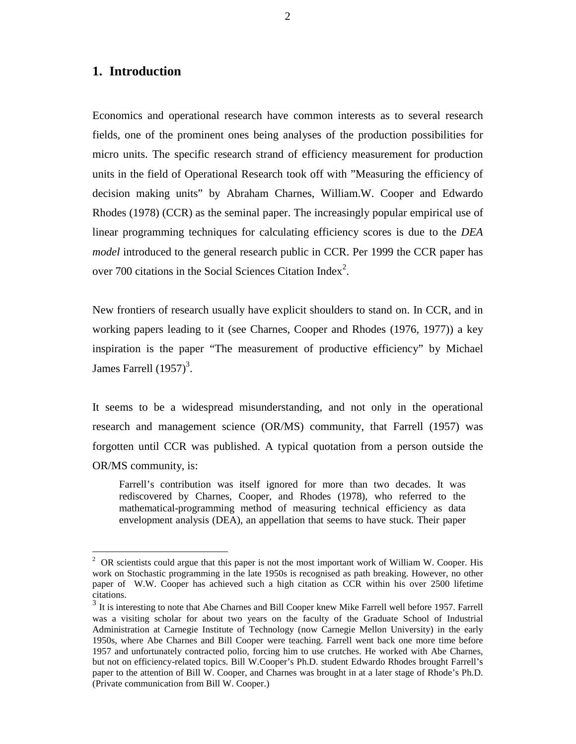## **1. Introduction**

 $\overline{a}$ 

Economics and operational research have common interests as to several research fields, one of the prominent ones being analyses of the production possibilities for micro units. The specific research strand of efficiency measurement for production units in the field of Operational Research took off with "Measuring the efficiency of decision making units" by Abraham Charnes, William.W. Cooper and Edwardo Rhodes (1978) (CCR) as the seminal paper. The increasingly popular empirical use of linear programming techniques for calculating efficiency scores is due to the *DEA model* introduced to the general research public in CCR. Per 1999 the CCR paper has over 700 citations in the Social Sciences Citation Index<sup>2</sup>.

New frontiers of research usually have explicit shoulders to stand on. In CCR, and in working papers leading to it (see Charnes, Cooper and Rhodes (1976, 1977)) a key inspiration is the paper "The measurement of productive efficiency" by Michael James Farrell  $(1957)^3$ .

It seems to be a widespread misunderstanding, and not only in the operational research and management science (OR/MS) community, that Farrell (1957) was forgotten until CCR was published. A typical quotation from a person outside the OR/MS community, is:

Farrell's contribution was itself ignored for more than two decades. It was rediscovered by Charnes, Cooper, and Rhodes (1978), who referred to the mathematical-programming method of measuring technical efficiency as data envelopment analysis (DEA), an appellation that seems to have stuck. Their paper

<sup>&</sup>lt;sup>2</sup> OR scientists could argue that this paper is not the most important work of William W. Cooper. His work on Stochastic programming in the late 1950s is recognised as path breaking. However, no other paper of W.W. Cooper has achieved such a high citation as CCR within his over 2500 lifetime citations.

<sup>&</sup>lt;sup>3</sup> It is interesting to note that Abe Charnes and Bill Cooper knew Mike Farrell well before 1957. Farrell was a visiting scholar for about two years on the faculty of the Graduate School of Industrial Administration at Carnegie Institute of Technology (now Carnegie Mellon University) in the early 1950s, where Abe Charnes and Bill Cooper were teaching. Farrell went back one more time before 1957 and unfortunately contracted polio, forcing him to use crutches. He worked with Abe Charnes, but not on efficiency-related topics. Bill W.Cooper's Ph.D. student Edwardo Rhodes brought Farrell's paper to the attention of Bill W. Cooper, and Charnes was brought in at a later stage of Rhode's Ph.D. (Private communication from Bill W. Cooper.)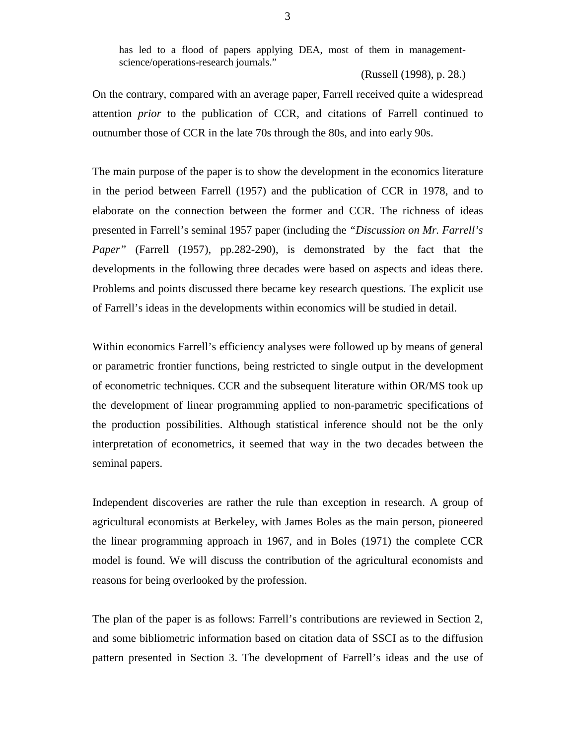has led to a flood of papers applying DEA, most of them in managementscience/operations-research journals."

(Russell (1998), p. 28.)

On the contrary, compared with an average paper, Farrell received quite a widespread attention *prior* to the publication of CCR, and citations of Farrell continued to outnumber those of CCR in the late 70s through the 80s, and into early 90s.

The main purpose of the paper is to show the development in the economics literature in the period between Farrell (1957) and the publication of CCR in 1978, and to elaborate on the connection between the former and CCR. The richness of ideas presented in Farrell's seminal 1957 paper (including the *"Discussion on Mr. Farrell's Paper"* (Farrell (1957), pp.282-290), is demonstrated by the fact that the developments in the following three decades were based on aspects and ideas there. Problems and points discussed there became key research questions. The explicit use of Farrell's ideas in the developments within economics will be studied in detail.

Within economics Farrell's efficiency analyses were followed up by means of general or parametric frontier functions, being restricted to single output in the development of econometric techniques. CCR and the subsequent literature within OR/MS took up the development of linear programming applied to non-parametric specifications of the production possibilities. Although statistical inference should not be the only interpretation of econometrics, it seemed that way in the two decades between the seminal papers.

Independent discoveries are rather the rule than exception in research. A group of agricultural economists at Berkeley, with James Boles as the main person, pioneered the linear programming approach in 1967, and in Boles (1971) the complete CCR model is found. We will discuss the contribution of the agricultural economists and reasons for being overlooked by the profession.

The plan of the paper is as follows: Farrell's contributions are reviewed in Section 2, and some bibliometric information based on citation data of SSCI as to the diffusion pattern presented in Section 3. The development of Farrell's ideas and the use of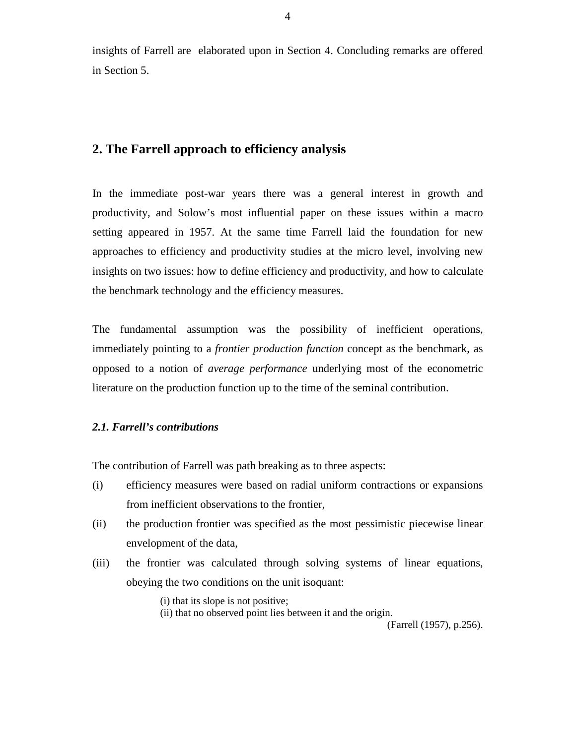insights of Farrell are elaborated upon in Section 4. Concluding remarks are offered in Section 5.

# **2. The Farrell approach to efficiency analysis**

In the immediate post-war years there was a general interest in growth and productivity, and Solow's most influential paper on these issues within a macro setting appeared in 1957. At the same time Farrell laid the foundation for new approaches to efficiency and productivity studies at the micro level, involving new insights on two issues: how to define efficiency and productivity, and how to calculate the benchmark technology and the efficiency measures.

The fundamental assumption was the possibility of inefficient operations, immediately pointing to a *frontier production function* concept as the benchmark, as opposed to a notion of *average performance* underlying most of the econometric literature on the production function up to the time of the seminal contribution.

#### *2.1. Farrell's contributions*

The contribution of Farrell was path breaking as to three aspects:

- (i) efficiency measures were based on radial uniform contractions or expansions from inefficient observations to the frontier,
- (ii) the production frontier was specified as the most pessimistic piecewise linear envelopment of the data,
- (iii) the frontier was calculated through solving systems of linear equations, obeying the two conditions on the unit isoquant:

(i) that its slope is not positive;

(ii) that no observed point lies between it and the origin.

(Farrell (1957), p.256).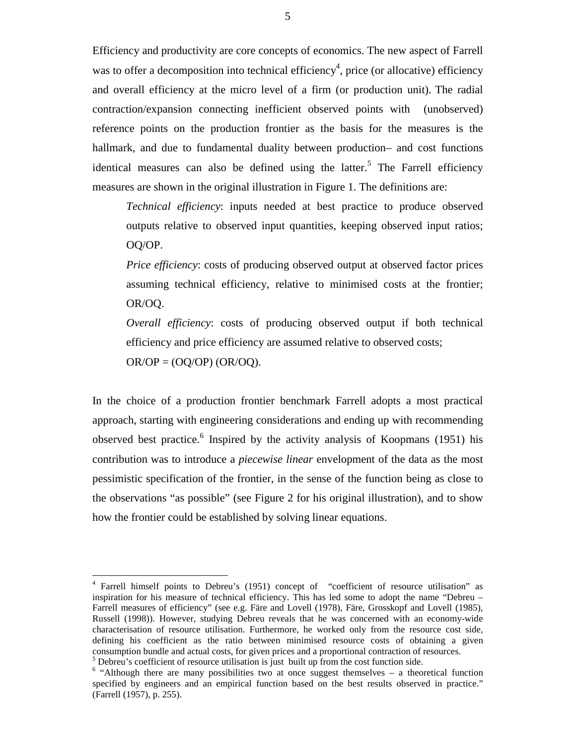Efficiency and productivity are core concepts of economics. The new aspect of Farrell was to offer a decomposition into technical efficiency<sup>4</sup>, price (or allocative) efficiency and overall efficiency at the micro level of a firm (or production unit). The radial contraction/expansion connecting inefficient observed points with (unobserved) reference points on the production frontier as the basis for the measures is the hallmark, and due to fundamental duality between production– and cost functions identical measures can also be defined using the latter.<sup>5</sup> The Farrell efficiency measures are shown in the original illustration in Figure 1. The definitions are:

*Technical efficiency*: inputs needed at best practice to produce observed outputs relative to observed input quantities, keeping observed input ratios; OQ/OP.

*Price efficiency*: costs of producing observed output at observed factor prices assuming technical efficiency, relative to minimised costs at the frontier; OR/OQ.

*Overall efficiency*: costs of producing observed output if both technical efficiency and price efficiency are assumed relative to observed costs;  $OR/OP = (OO/OP) (OR/OO)$ .

In the choice of a production frontier benchmark Farrell adopts a most practical approach, starting with engineering considerations and ending up with recommending observed best practice.  $\frac{6}{5}$  Inspired by the activity analysis of Koopmans (1951) his contribution was to introduce a *piecewise linear* envelopment of the data as the most pessimistic specification of the frontier, in the sense of the function being as close to the observations "as possible" (see Figure 2 for his original illustration), and to show how the frontier could be established by solving linear equations.

<sup>&</sup>lt;sup>4</sup> Farrell himself points to Debreu's (1951) concept of "coefficient of resource utilisation" as inspiration for his measure of technical efficiency. This has led some to adopt the name "Debreu – Farrell measures of efficiency" (see e.g. Färe and Lovell (1978), Färe, Grosskopf and Lovell (1985), Russell (1998)). However, studying Debreu reveals that he was concerned with an economy-wide characterisation of resource utilisation. Furthermore, he worked only from the resource cost side, defining his coefficient as the ratio between minimised resource costs of obtaining a given consumption bundle and actual costs, for given prices and a proportional contraction of resources.  $<sup>5</sup>$  Debreu's coefficient of resource utilisation is just built up from the cost function side.</sup>

<sup>&</sup>lt;sup>6</sup> "Although there are many possibilities two at once suggest themselves – a theoretical function specified by engineers and an empirical function based on the best results observed in practice." (Farrell (1957), p. 255).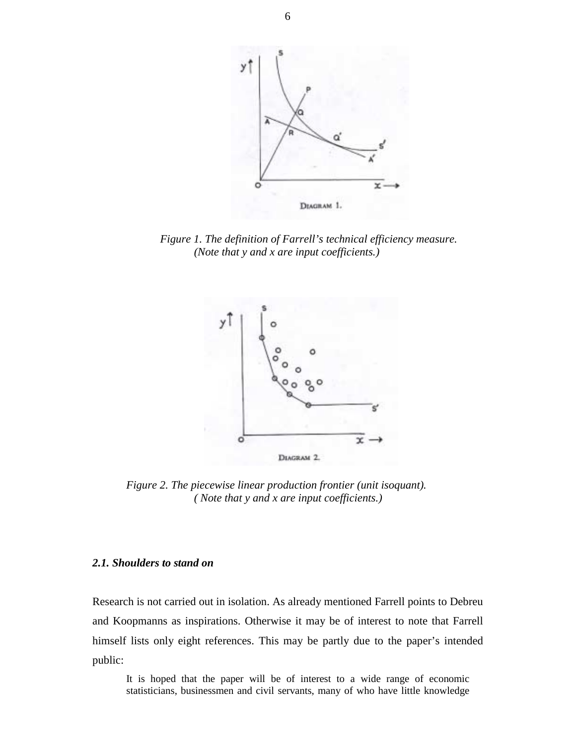

*Figure 1. The definition of Farrell's technical efficiency measure. (Note that y and x are input coefficients.)*



*Figure 2. The piecewise linear production frontier (unit isoquant). ( Note that y and x are input coefficients.)*

#### *2.1. Shoulders to stand on*

Research is not carried out in isolation. As already mentioned Farrell points to Debreu and Koopmanns as inspirations. Otherwise it may be of interest to note that Farrell himself lists only eight references. This may be partly due to the paper's intended public:

It is hoped that the paper will be of interest to a wide range of economic statisticians, businessmen and civil servants, many of who have little knowledge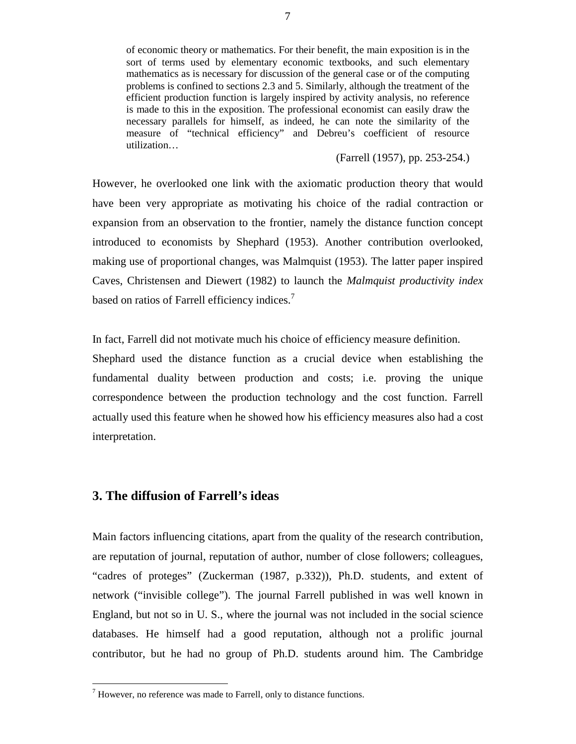of economic theory or mathematics. For their benefit, the main exposition is in the sort of terms used by elementary economic textbooks, and such elementary mathematics as is necessary for discussion of the general case or of the computing problems is confined to sections 2.3 and 5. Similarly, although the treatment of the efficient production function is largely inspired by activity analysis, no reference is made to this in the exposition. The professional economist can easily draw the necessary parallels for himself, as indeed, he can note the similarity of the measure of "technical efficiency" and Debreu's coefficient of resource utilization…

(Farrell (1957), pp. 253-254.)

However, he overlooked one link with the axiomatic production theory that would have been very appropriate as motivating his choice of the radial contraction or expansion from an observation to the frontier, namely the distance function concept introduced to economists by Shephard (1953). Another contribution overlooked, making use of proportional changes, was Malmquist (1953). The latter paper inspired Caves, Christensen and Diewert (1982) to launch the *Malmquist productivity index* based on ratios of Farrell efficiency indices.<sup>7</sup>

In fact, Farrell did not motivate much his choice of efficiency measure definition.

Shephard used the distance function as a crucial device when establishing the fundamental duality between production and costs; i.e. proving the unique correspondence between the production technology and the cost function. Farrell actually used this feature when he showed how his efficiency measures also had a cost interpretation.

# **3. The diffusion of Farrell's ideas**

Main factors influencing citations, apart from the quality of the research contribution, are reputation of journal, reputation of author, number of close followers; colleagues, "cadres of proteges" (Zuckerman (1987, p.332)), Ph.D. students, and extent of network ("invisible college"). The journal Farrell published in was well known in England, but not so in U. S., where the journal was not included in the social science databases. He himself had a good reputation, although not a prolific journal contributor, but he had no group of Ph.D. students around him. The Cambridge

 7 However, no reference was made to Farrell, only to distance functions.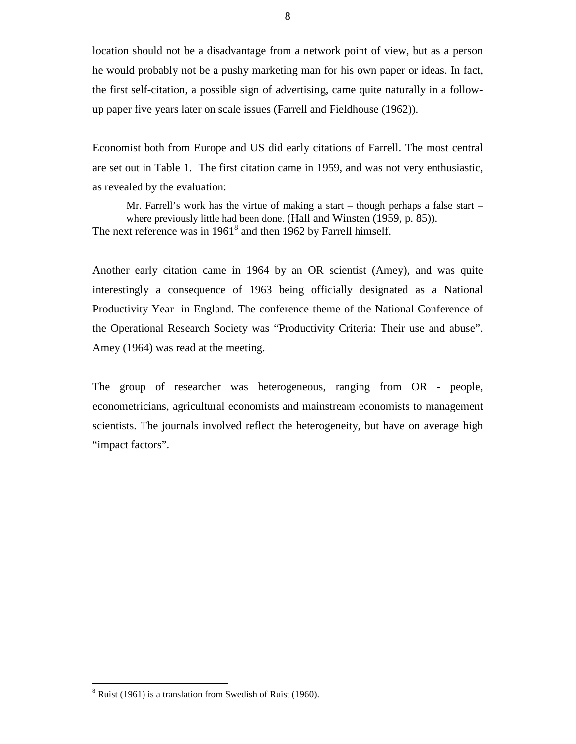location should not be a disadvantage from a network point of view, but as a person he would probably not be a pushy marketing man for his own paper or ideas. In fact, the first self-citation, a possible sign of advertising, came quite naturally in a followup paper five years later on scale issues (Farrell and Fieldhouse (1962)).

Economist both from Europe and US did early citations of Farrell. The most central are set out in Table 1. The first citation came in 1959, and was not very enthusiastic, as revealed by the evaluation:

Mr. Farrell's work has the virtue of making a start – though perhaps a false start – where previously little had been done. (Hall and Winsten (1959, p. 85)). The next reference was in  $1961<sup>8</sup>$  and then 1962 by Farrell himself.

Another early citation came in 1964 by an OR scientist (Amey), and was quite interestingly a consequence of 1963 being officially designated as a National Productivity Year in England. The conference theme of the National Conference of the Operational Research Society was "Productivity Criteria: Their use and abuse". Amey (1964) was read at the meeting.

The group of researcher was heterogeneous, ranging from OR - people, econometricians, agricultural economists and mainstream economists to management scientists. The journals involved reflect the heterogeneity, but have on average high "impact factors".

 $8$  Ruist (1961) is a translation from Swedish of Ruist (1960).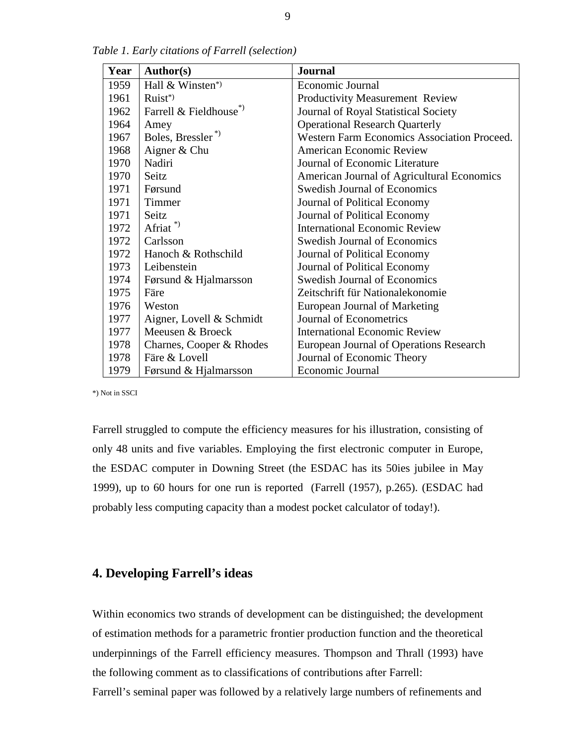| Year | Author(s)                           | <b>Journal</b>                              |
|------|-------------------------------------|---------------------------------------------|
| 1959 | Hall & Winsten*)                    | Economic Journal                            |
| 1961 | Ruist*)                             | Productivity Measurement Review             |
| 1962 | Farrell & Fieldhouse <sup>*</sup> ) | Journal of Royal Statistical Society        |
| 1964 | Amey                                | <b>Operational Research Quarterly</b>       |
| 1967 | Boles, Bressler <sup>*</sup>        | Western Farm Economics Association Proceed. |
| 1968 | Aigner & Chu                        | <b>American Economic Review</b>             |
| 1970 | Nadiri                              | Journal of Economic Literature              |
| 1970 | Seitz                               | American Journal of Agricultural Economics  |
| 1971 | Førsund                             | <b>Swedish Journal of Economics</b>         |
| 1971 | Timmer                              | Journal of Political Economy                |
| 1971 | Seitz                               | Journal of Political Economy                |
| 1972 | Afriat <sup>*</sup>                 | <b>International Economic Review</b>        |
| 1972 | Carlsson                            | <b>Swedish Journal of Economics</b>         |
| 1972 | Hanoch & Rothschild                 | Journal of Political Economy                |
| 1973 | Leibenstein                         | Journal of Political Economy                |
| 1974 | Førsund & Hjalmarsson               | <b>Swedish Journal of Economics</b>         |
| 1975 | Färe                                | Zeitschrift für Nationalekonomie            |
| 1976 | Weston                              | European Journal of Marketing               |
| 1977 | Aigner, Lovell & Schmidt            | <b>Journal of Econometrics</b>              |
| 1977 | Meeusen & Broeck                    | <b>International Economic Review</b>        |
| 1978 | Charnes, Cooper & Rhodes            | European Journal of Operations Research     |
| 1978 | Färe & Lovell                       | Journal of Economic Theory                  |
| 1979 | Førsund & Hjalmarsson               | Economic Journal                            |

*Table 1. Early citations of Farrell (selection)*

\*) Not in SSCI

Farrell struggled to compute the efficiency measures for his illustration, consisting of only 48 units and five variables. Employing the first electronic computer in Europe, the ESDAC computer in Downing Street (the ESDAC has its 50ies jubilee in May 1999), up to 60 hours for one run is reported (Farrell (1957), p.265). (ESDAC had probably less computing capacity than a modest pocket calculator of today!).

# **4. Developing Farrell's ideas**

Within economics two strands of development can be distinguished; the development of estimation methods for a parametric frontier production function and the theoretical underpinnings of the Farrell efficiency measures. Thompson and Thrall (1993) have the following comment as to classifications of contributions after Farrell:

Farrell's seminal paper was followed by a relatively large numbers of refinements and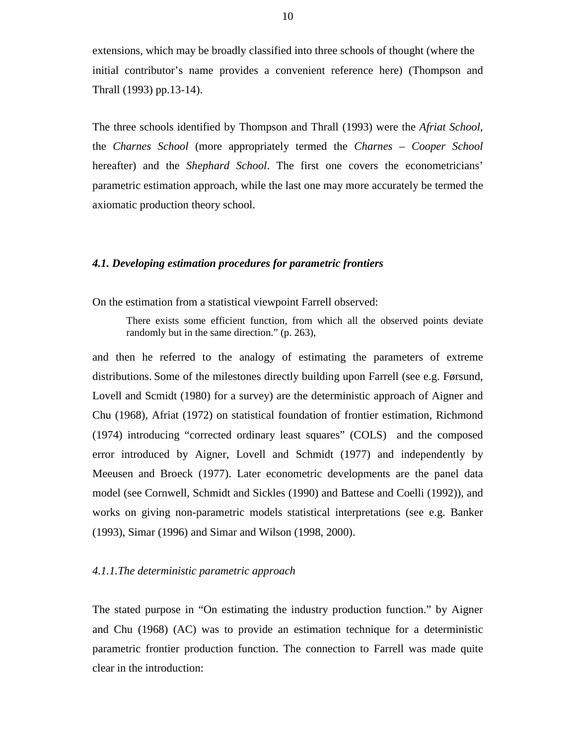extensions, which may be broadly classified into three schools of thought (where the initial contributor's name provides a convenient reference here) (Thompson and Thrall (1993) pp.13-14).

The three schools identified by Thompson and Thrall (1993) were the *Afriat School*, the *Charnes School* (more appropriately termed the *Charnes – Cooper School* hereafter) and the *Shephard School*. The first one covers the econometricians' parametric estimation approach, while the last one may more accurately be termed the axiomatic production theory school.

#### *4.1. Developing estimation procedures for parametric frontiers*

On the estimation from a statistical viewpoint Farrell observed:

There exists some efficient function, from which all the observed points deviate randomly but in the same direction." (p. 263),

and then he referred to the analogy of estimating the parameters of extreme distributions. Some of the milestones directly building upon Farrell (see e.g. Førsund, Lovell and Scmidt (1980) for a survey) are the deterministic approach of Aigner and Chu (1968), Afriat (1972) on statistical foundation of frontier estimation, Richmond (1974) introducing "corrected ordinary least squares" (COLS) and the composed error introduced by Aigner, Lovell and Schmidt (1977) and independently by Meeusen and Broeck (1977). Later econometric developments are the panel data model (see Cornwell, Schmidt and Sickles (1990) and Battese and Coelli (1992)), and works on giving non-parametric models statistical interpretations (see e.g. Banker (1993), Simar (1996) and Simar and Wilson (1998, 2000).

#### *4.1.1.The deterministic parametric approach*

The stated purpose in "On estimating the industry production function." by Aigner and Chu (1968) (AC) was to provide an estimation technique for a deterministic parametric frontier production function. The connection to Farrell was made quite clear in the introduction: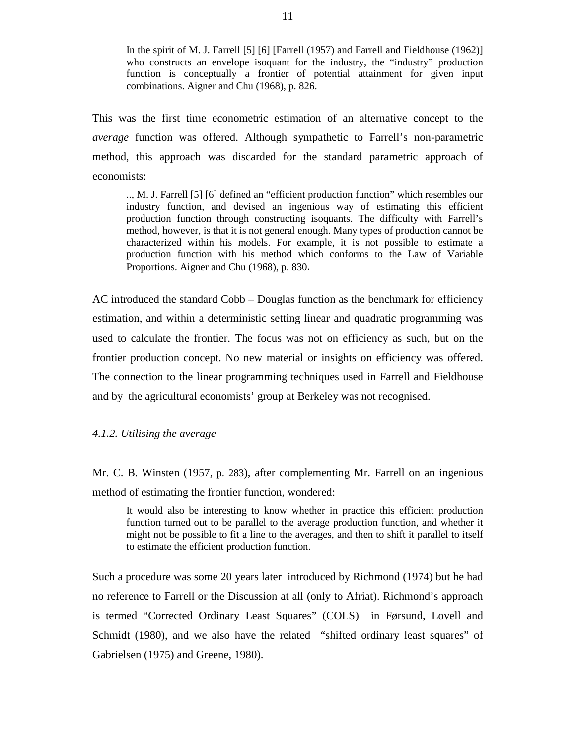In the spirit of M. J. Farrell [5] [6] [Farrell (1957) and Farrell and Fieldhouse (1962)] who constructs an envelope isoquant for the industry, the "industry" production function is conceptually a frontier of potential attainment for given input combinations. Aigner and Chu (1968), p. 826.

This was the first time econometric estimation of an alternative concept to the *average* function was offered. Although sympathetic to Farrell's non-parametric method, this approach was discarded for the standard parametric approach of economists:

.., M. J. Farrell [5] [6] defined an "efficient production function" which resembles our industry function, and devised an ingenious way of estimating this efficient production function through constructing isoquants. The difficulty with Farrell's method, however, is that it is not general enough. Many types of production cannot be characterized within his models. For example, it is not possible to estimate a production function with his method which conforms to the Law of Variable Proportions. Aigner and Chu (1968), p. 830.

AC introduced the standard Cobb – Douglas function as the benchmark for efficiency estimation, and within a deterministic setting linear and quadratic programming was used to calculate the frontier. The focus was not on efficiency as such, but on the frontier production concept. No new material or insights on efficiency was offered. The connection to the linear programming techniques used in Farrell and Fieldhouse and by the agricultural economists' group at Berkeley was not recognised.

*4.1.2. Utilising the average*

Mr. C. B. Winsten (1957, p. 283), after complementing Mr. Farrell on an ingenious method of estimating the frontier function, wondered:

It would also be interesting to know whether in practice this efficient production function turned out to be parallel to the average production function, and whether it might not be possible to fit a line to the averages, and then to shift it parallel to itself to estimate the efficient production function.

Such a procedure was some 20 years later introduced by Richmond (1974) but he had no reference to Farrell or the Discussion at all (only to Afriat). Richmond's approach is termed "Corrected Ordinary Least Squares" (COLS) in Førsund, Lovell and Schmidt (1980), and we also have the related "shifted ordinary least squares" of Gabrielsen (1975) and Greene, 1980).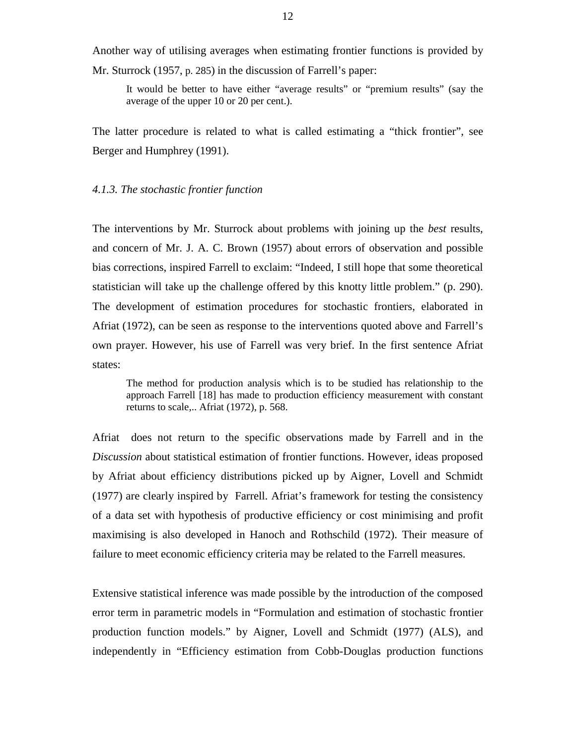Another way of utilising averages when estimating frontier functions is provided by Mr. Sturrock (1957, p. 285) in the discussion of Farrell's paper:

It would be better to have either "average results" or "premium results" (say the average of the upper 10 or 20 per cent.).

The latter procedure is related to what is called estimating a "thick frontier", see Berger and Humphrey (1991).

#### *4.1.3. The stochastic frontier function*

The interventions by Mr. Sturrock about problems with joining up the *best* results, and concern of Mr. J. A. C. Brown (1957) about errors of observation and possible bias corrections, inspired Farrell to exclaim: "Indeed, I still hope that some theoretical statistician will take up the challenge offered by this knotty little problem." (p. 290). The development of estimation procedures for stochastic frontiers, elaborated in Afriat (1972), can be seen as response to the interventions quoted above and Farrell's own prayer. However, his use of Farrell was very brief. In the first sentence Afriat states:

The method for production analysis which is to be studied has relationship to the approach Farrell [18] has made to production efficiency measurement with constant returns to scale,.. Afriat (1972), p. 568.

Afriat does not return to the specific observations made by Farrell and in the *Discussion* about statistical estimation of frontier functions. However, ideas proposed by Afriat about efficiency distributions picked up by Aigner, Lovell and Schmidt (1977) are clearly inspired by Farrell. Afriat's framework for testing the consistency of a data set with hypothesis of productive efficiency or cost minimising and profit maximising is also developed in Hanoch and Rothschild (1972). Their measure of failure to meet economic efficiency criteria may be related to the Farrell measures.

Extensive statistical inference was made possible by the introduction of the composed error term in parametric models in "Formulation and estimation of stochastic frontier production function models." by Aigner, Lovell and Schmidt (1977) (ALS), and independently in "Efficiency estimation from Cobb-Douglas production functions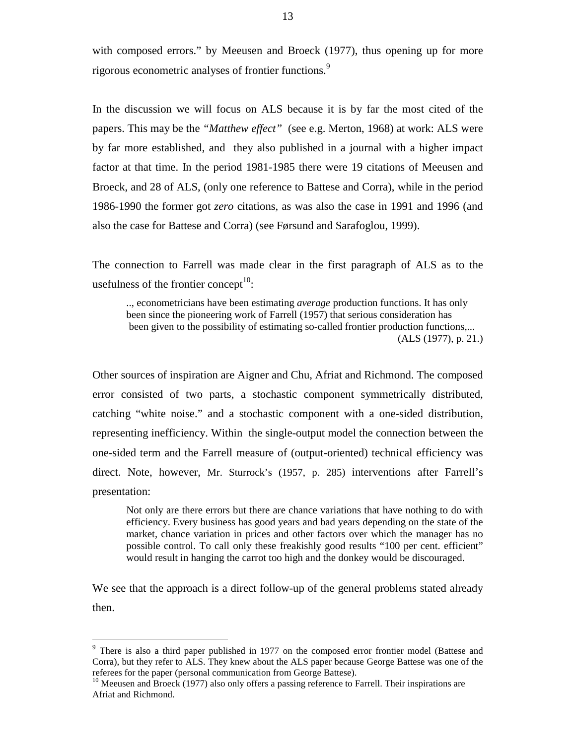with composed errors." by Meeusen and Broeck (1977), thus opening up for more rigorous econometric analyses of frontier functions.<sup>9</sup>

In the discussion we will focus on ALS because it is by far the most cited of the papers. This may be the *"Matthew effect"* (see e.g. Merton, 1968) at work: ALS were by far more established, and they also published in a journal with a higher impact factor at that time. In the period 1981-1985 there were 19 citations of Meeusen and Broeck, and 28 of ALS, (only one reference to Battese and Corra), while in the period 1986-1990 the former got *zero* citations, as was also the case in 1991 and 1996 (and also the case for Battese and Corra) (see Førsund and Sarafoglou, 1999).

The connection to Farrell was made clear in the first paragraph of ALS as to the usefulness of the frontier concept $10$ :

.., econometricians have been estimating *average* production functions. It has only been since the pioneering work of Farrell (1957) that serious consideration has been given to the possibility of estimating so-called frontier production functions,... (ALS (1977), p. 21.)

Other sources of inspiration are Aigner and Chu, Afriat and Richmond. The composed error consisted of two parts, a stochastic component symmetrically distributed, catching "white noise." and a stochastic component with a one-sided distribution, representing inefficiency. Within the single-output model the connection between the one-sided term and the Farrell measure of (output-oriented) technical efficiency was direct. Note, however, Mr. Sturrock's (1957, p. 285) interventions after Farrell's presentation:

Not only are there errors but there are chance variations that have nothing to do with efficiency. Every business has good years and bad years depending on the state of the market, chance variation in prices and other factors over which the manager has no possible control. To call only these freakishly good results "100 per cent. efficient" would result in hanging the carrot too high and the donkey would be discouraged.

We see that the approach is a direct follow-up of the general problems stated already then.

<sup>&</sup>lt;sup>9</sup> There is also a third paper published in 1977 on the composed error frontier model (Battese and Corra), but they refer to ALS. They knew about the ALS paper because George Battese was one of the referees for the paper (personal communication from George Battese).

 $10$  Meeusen and Broeck (1977) also only offers a passing reference to Farrell. Their inspirations are Afriat and Richmond.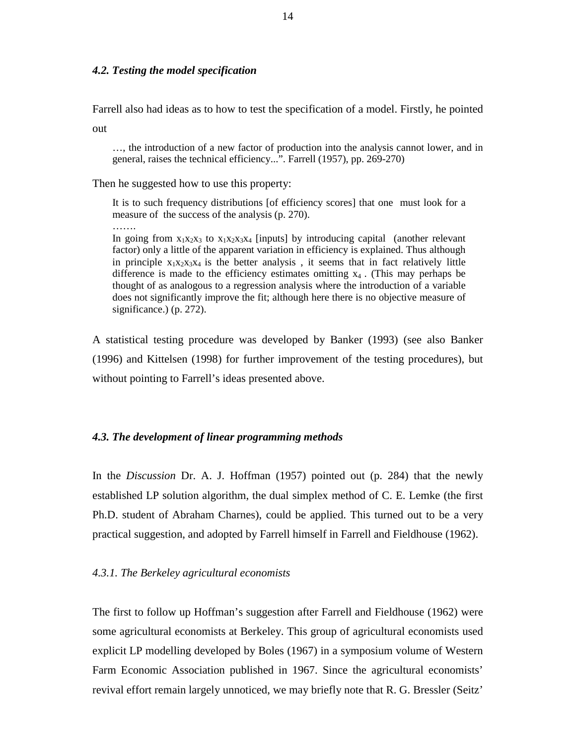#### *4.2. Testing the model specification*

Farrell also had ideas as to how to test the specification of a model. Firstly, he pointed

out

…, the introduction of a new factor of production into the analysis cannot lower, and in general, raises the technical efficiency...". Farrell (1957), pp. 269-270)

Then he suggested how to use this property:

It is to such frequency distributions [of efficiency scores] that one must look for a measure of the success of the analysis (p. 270).

In going from  $x_1x_2x_3$  to  $x_1x_2x_3x_4$  [inputs] by introducing capital (another relevant factor) only a little of the apparent variation in efficiency is explained. Thus although in principle  $x_1x_2x_3x_4$  is the better analysis, it seems that in fact relatively little difference is made to the efficiency estimates omitting  $x_4$ . (This may perhaps be thought of as analogous to a regression analysis where the introduction of a variable does not significantly improve the fit; although here there is no objective measure of significance.) (p. 272).

A statistical testing procedure was developed by Banker (1993) (see also Banker (1996) and Kittelsen (1998) for further improvement of the testing procedures), but without pointing to Farrell's ideas presented above.

# *4.3. The development of linear programming methods*

In the *Discussion* Dr. A. J. Hoffman (1957) pointed out (p. 284) that the newly established LP solution algorithm, the dual simplex method of C. E. Lemke (the first Ph.D. student of Abraham Charnes), could be applied. This turned out to be a very practical suggestion, and adopted by Farrell himself in Farrell and Fieldhouse (1962).

#### *4.3.1. The Berkeley agricultural economists*

The first to follow up Hoffman's suggestion after Farrell and Fieldhouse (1962) were some agricultural economists at Berkeley. This group of agricultural economists used explicit LP modelling developed by Boles (1967) in a symposium volume of Western Farm Economic Association published in 1967. Since the agricultural economists' revival effort remain largely unnoticed, we may briefly note that R. G. Bressler (Seitz'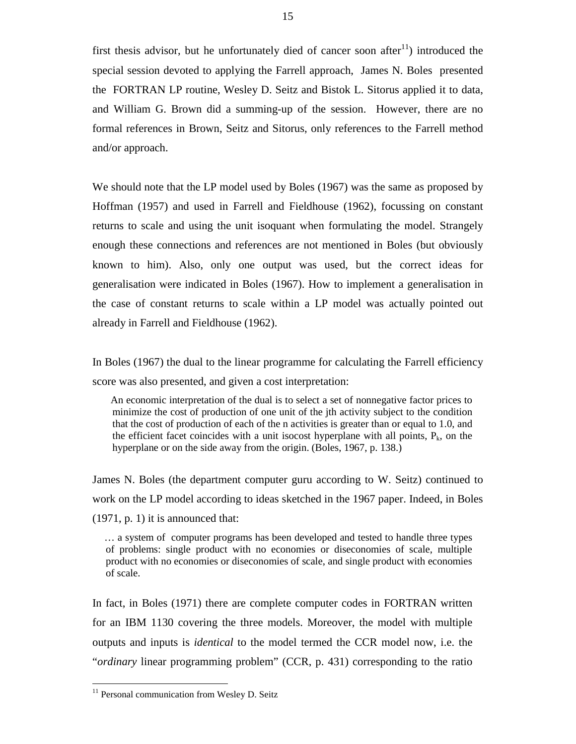first thesis advisor, but he unfortunately died of cancer soon after  $11$ ) introduced the special session devoted to applying the Farrell approach, James N. Boles presented the FORTRAN LP routine, Wesley D. Seitz and Bistok L. Sitorus applied it to data, and William G. Brown did a summing-up of the session. However, there are no formal references in Brown, Seitz and Sitorus, only references to the Farrell method and/or approach.

We should note that the LP model used by Boles (1967) was the same as proposed by Hoffman (1957) and used in Farrell and Fieldhouse (1962), focussing on constant returns to scale and using the unit isoquant when formulating the model. Strangely enough these connections and references are not mentioned in Boles (but obviously known to him). Also, only one output was used, but the correct ideas for generalisation were indicated in Boles (1967). How to implement a generalisation in the case of constant returns to scale within a LP model was actually pointed out already in Farrell and Fieldhouse (1962).

In Boles (1967) the dual to the linear programme for calculating the Farrell efficiency score was also presented, and given a cost interpretation:

 An economic interpretation of the dual is to select a set of nonnegative factor prices to minimize the cost of production of one unit of the jth activity subject to the condition that the cost of production of each of the n activities is greater than or equal to 1.0, and the efficient facet coincides with a unit isocost hyperplane with all points,  $P_k$ , on the hyperplane or on the side away from the origin. (Boles, 1967, p. 138.)

James N. Boles (the department computer guru according to W. Seitz) continued to work on the LP model according to ideas sketched in the 1967 paper. Indeed, in Boles (1971, p. 1) it is announced that:

 … a system of computer programs has been developed and tested to handle three types of problems: single product with no economies or diseconomies of scale, multiple product with no economies or diseconomies of scale, and single product with economies of scale.

 In fact, in Boles (1971) there are complete computer codes in FORTRAN written for an IBM 1130 covering the three models. Moreover, the model with multiple outputs and inputs is *identical* to the model termed the CCR model now, i.e. the "*ordinary* linear programming problem" (CCR, p. 431) corresponding to the ratio

<sup>&</sup>lt;sup>11</sup> Personal communication from Wesley D. Seitz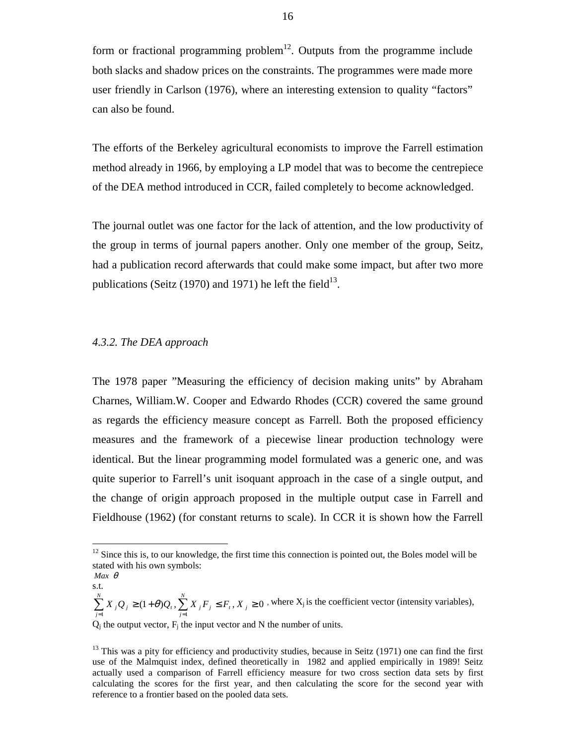form or fractional programming problem<sup>12</sup>. Outputs from the programme include both slacks and shadow prices on the constraints. The programmes were made more user friendly in Carlson (1976), where an interesting extension to quality "factors" can also be found.

The efforts of the Berkeley agricultural economists to improve the Farrell estimation method already in 1966, by employing a LP model that was to become the centrepiece of the DEA method introduced in CCR, failed completely to become acknowledged.

The journal outlet was one factor for the lack of attention, and the low productivity of the group in terms of journal papers another. Only one member of the group, Seitz, had a publication record afterwards that could make some impact, but after two more publications (Seitz (1970) and 1971) he left the field<sup>13</sup>.

#### *4.3.2. The DEA approach*

The 1978 paper "Measuring the efficiency of decision making units" by Abraham Charnes, William.W. Cooper and Edwardo Rhodes (CCR) covered the same ground as regards the efficiency measure concept as Farrell. Both the proposed efficiency measures and the framework of a piecewise linear production technology were identical. But the linear programming model formulated was a generic one, and was quite superior to Farrell's unit isoquant approach in the case of a single output, and the change of origin approach proposed in the multiple output case in Farrell and Fieldhouse (1962) (for constant returns to scale). In CCR it is shown how the Farrell

 $\overline{a}$ 

 $(1 + \theta)Q_i$ ,  $\sum X_i F_i \leq F_i$ ,  $X_i \geq 0$  $\sum_{j=1}^{n} X_{j} Q_{j} \geq (1+\theta) Q_{i}, \sum_{j=1}^{n} X_{j} F_{j} \leq F_{i}, X_{j} \geq$ *N*  $\sum_{j=1}^I$   $\mathbf{A}$   $\sum_{j=1}^I$   $\mathbf{F}$   $\sum_{j=1}^I$ *N*  $\sum_{j=1}^{n} X_j Q_j \ge (1+\theta)Q_t$ ,  $\sum_{j=1}^{n} X_j F_j \le F_t$ ,  $X_j \ge 0$ , where  $X_j$  is the coefficient vector (intensity variables),  $Q_j$  the output vector,  $F_j$  the input vector and N the number of units.

 $12$  Since this is, to our knowledge, the first time this connection is pointed out, the Boles model will be stated with his own symbols:

*Max* θ s.t.

 $13$  This was a pity for efficiency and productivity studies, because in Seitz (1971) one can find the first use of the Malmquist index, defined theoretically in 1982 and applied empirically in 1989! Seitz actually used a comparison of Farrell efficiency measure for two cross section data sets by first calculating the scores for the first year, and then calculating the score for the second year with reference to a frontier based on the pooled data sets.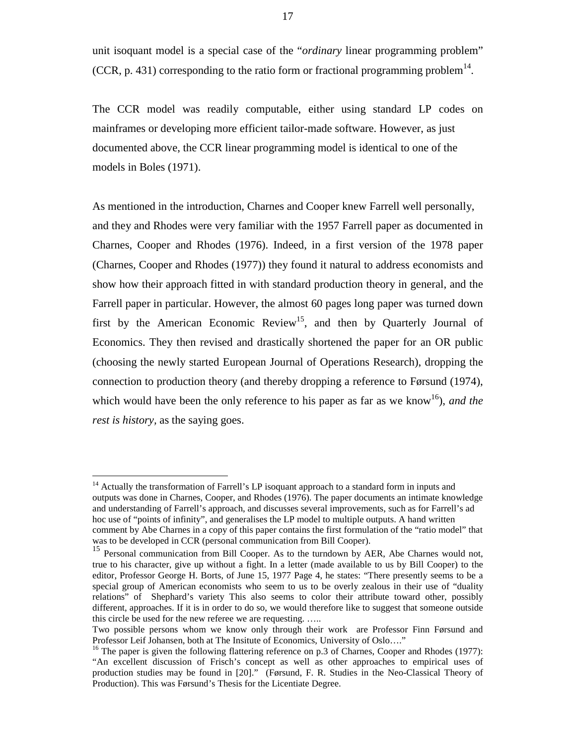unit isoquant model is a special case of the "*ordinary* linear programming problem" (CCR, p. 431) corresponding to the ratio form or fractional programming problem<sup>14</sup>.

The CCR model was readily computable, either using standard LP codes on mainframes or developing more efficient tailor-made software. However, as just documented above, the CCR linear programming model is identical to one of the models in Boles (1971).

As mentioned in the introduction, Charnes and Cooper knew Farrell well personally, and they and Rhodes were very familiar with the 1957 Farrell paper as documented in Charnes, Cooper and Rhodes (1976). Indeed, in a first version of the 1978 paper (Charnes, Cooper and Rhodes (1977)) they found it natural to address economists and show how their approach fitted in with standard production theory in general, and the Farrell paper in particular. However, the almost 60 pages long paper was turned down first by the American Economic Review<sup>15</sup>, and then by Quarterly Journal of Economics. They then revised and drastically shortened the paper for an OR public (choosing the newly started European Journal of Operations Research), dropping the connection to production theory (and thereby dropping a reference to Førsund (1974), which would have been the only reference to his paper as far as we know<sup>16</sup>), *and the rest is history*, as the saying goes.

 $\overline{a}$ 

17

<sup>&</sup>lt;sup>14</sup> Actually the transformation of Farrell's LP isoquant approach to a standard form in inputs and outputs was done in Charnes, Cooper, and Rhodes (1976). The paper documents an intimate knowledge and understanding of Farrell's approach, and discusses several improvements, such as for Farrell's ad hoc use of "points of infinity", and generalises the LP model to multiple outputs. A hand written comment by Abe Charnes in a copy of this paper contains the first formulation of the "ratio model" that was to be developed in CCR (personal communication from Bill Cooper).

<sup>&</sup>lt;sup>15</sup> Personal communication from Bill Cooper. As to the turndown by AER, Abe Charnes would not, true to his character, give up without a fight. In a letter (made available to us by Bill Cooper) to the editor, Professor George H. Borts, of June 15, 1977 Page 4, he states: "There presently seems to be a special group of American economists who seem to us to be overly zealous in their use of "duality relations" of Shephard's variety This also seems to color their attribute toward other, possibly different, approaches. If it is in order to do so, we would therefore like to suggest that someone outside this circle be used for the new referee we are requesting. …..

Two possible persons whom we know only through their work are Professor Finn Førsund and Professor Leif Johansen, both at The Insitute of Economics, University of Oslo…."

<sup>&</sup>lt;sup>16</sup> The paper is given the following flattering reference on p.3 of Charnes, Cooper and Rhodes (1977): "An excellent discussion of Frisch's concept as well as other approaches to empirical uses of production studies may be found in [20]." (Førsund, F. R. Studies in the Neo-Classical Theory of Production). This was Førsund's Thesis for the Licentiate Degree.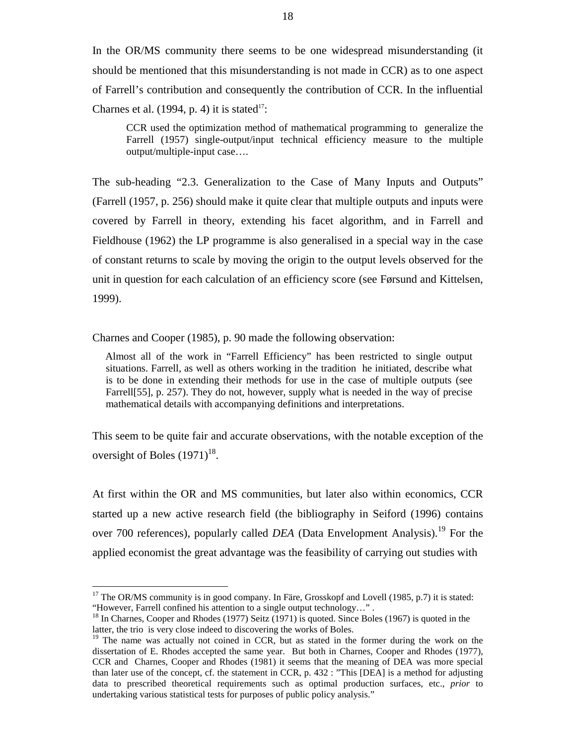In the OR/MS community there seems to be one widespread misunderstanding (it should be mentioned that this misunderstanding is not made in CCR) as to one aspect of Farrell's contribution and consequently the contribution of CCR. In the influential Charnes et al.  $(1994, p. 4)$  it is stated<sup>17</sup>:

CCR used the optimization method of mathematical programming to generalize the Farrell (1957) single-output/input technical efficiency measure to the multiple output/multiple-input case….

The sub-heading "2.3. Generalization to the Case of Many Inputs and Outputs" (Farrell (1957, p. 256) should make it quite clear that multiple outputs and inputs were covered by Farrell in theory, extending his facet algorithm, and in Farrell and Fieldhouse (1962) the LP programme is also generalised in a special way in the case of constant returns to scale by moving the origin to the output levels observed for the unit in question for each calculation of an efficiency score (see Førsund and Kittelsen, 1999).

Charnes and Cooper (1985), p. 90 made the following observation:

 Almost all of the work in "Farrell Efficiency" has been restricted to single output situations. Farrell, as well as others working in the tradition he initiated, describe what is to be done in extending their methods for use in the case of multiple outputs (see Farrell[55], p. 257). They do not, however, supply what is needed in the way of precise mathematical details with accompanying definitions and interpretations.

This seem to be quite fair and accurate observations, with the notable exception of the oversight of Boles  $(1971)^{18}$ .

At first within the OR and MS communities, but later also within economics, CCR started up a new active research field (the bibliography in Seiford (1996) contains over 700 references), popularly called *DEA* (Data Envelopment Analysis).<sup>19</sup> For the applied economist the great advantage was the feasibility of carrying out studies with

 $17$  The OR/MS community is in good company. In Färe, Grosskopf and Lovell (1985, p.7) it is stated: "However, Farrell confined his attention to a single output technology…" .

<sup>&</sup>lt;sup>18</sup> In Charnes, Cooper and Rhodes (1977) Seitz (1971) is quoted. Since Boles (1967) is quoted in the latter, the trio is very close indeed to discovering the works of Boles.

 $19$  The name was actually not coined in CCR, but as stated in the former during the work on the dissertation of E. Rhodes accepted the same year. But both in Charnes, Cooper and Rhodes (1977), CCR and Charnes, Cooper and Rhodes (1981) it seems that the meaning of DEA was more special than later use of the concept, cf. the statement in CCR, p. 432 : "This [DEA] is a method for adjusting data to prescribed theoretical requirements such as optimal production surfaces, etc., *prior* to undertaking various statistical tests for purposes of public policy analysis."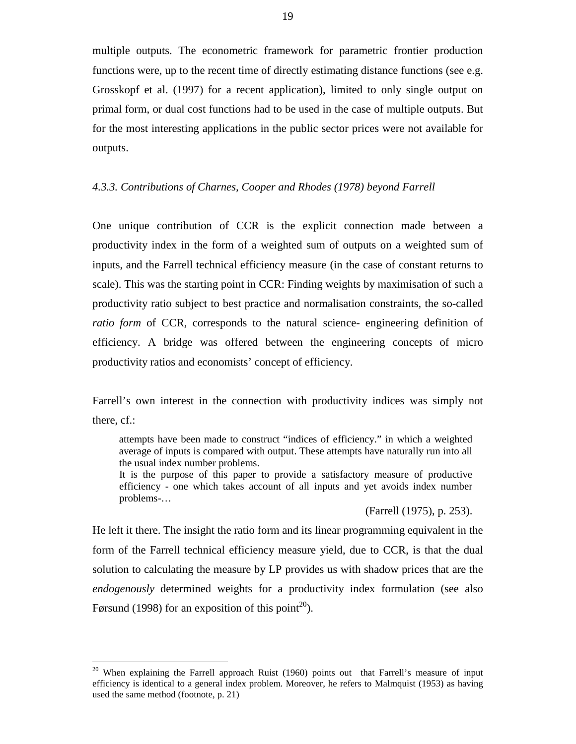multiple outputs. The econometric framework for parametric frontier production functions were, up to the recent time of directly estimating distance functions (see e.g. Grosskopf et al. (1997) for a recent application), limited to only single output on primal form, or dual cost functions had to be used in the case of multiple outputs. But for the most interesting applications in the public sector prices were not available for outputs.

#### *4.3.3. Contributions of Charnes, Cooper and Rhodes (1978) beyond Farrell*

One unique contribution of CCR is the explicit connection made between a productivity index in the form of a weighted sum of outputs on a weighted sum of inputs, and the Farrell technical efficiency measure (in the case of constant returns to scale). This was the starting point in CCR: Finding weights by maximisation of such a productivity ratio subject to best practice and normalisation constraints, the so-called *ratio form* of CCR, corresponds to the natural science- engineering definition of efficiency. A bridge was offered between the engineering concepts of micro productivity ratios and economists' concept of efficiency.

Farrell's own interest in the connection with productivity indices was simply not there, cf.:

attempts have been made to construct "indices of efficiency." in which a weighted average of inputs is compared with output. These attempts have naturally run into all the usual index number problems.

It is the purpose of this paper to provide a satisfactory measure of productive efficiency - one which takes account of all inputs and yet avoids index number problems-…

(Farrell (1975), p. 253).

He left it there. The insight the ratio form and its linear programming equivalent in the form of the Farrell technical efficiency measure yield, due to CCR, is that the dual solution to calculating the measure by LP provides us with shadow prices that are the *endogenously* determined weights for a productivity index formulation (see also Førsund (1998) for an exposition of this point<sup>20</sup>).

<sup>&</sup>lt;sup>20</sup> When explaining the Farrell approach Ruist (1960) points out that Farrell's measure of input efficiency is identical to a general index problem. Moreover, he refers to Malmquist (1953) as having used the same method (footnote, p. 21)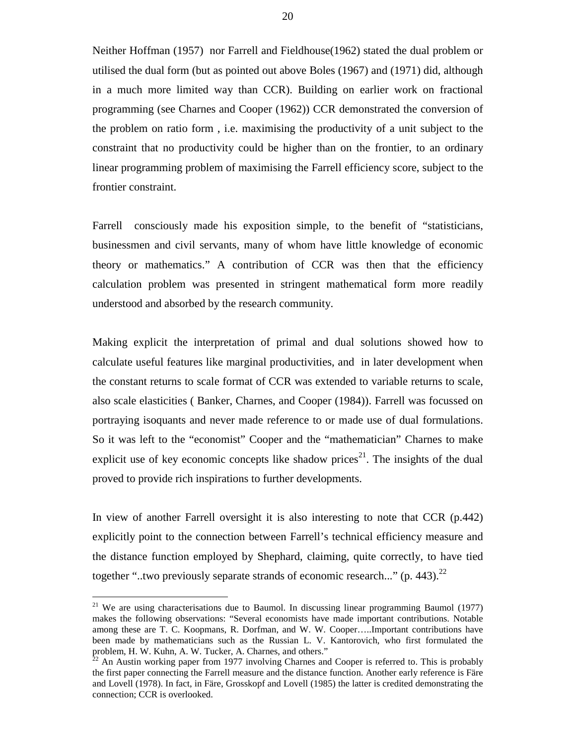Neither Hoffman (1957) nor Farrell and Fieldhouse(1962) stated the dual problem or utilised the dual form (but as pointed out above Boles (1967) and (1971) did, although in a much more limited way than CCR). Building on earlier work on fractional programming (see Charnes and Cooper (1962)) CCR demonstrated the conversion of the problem on ratio form , i.e. maximising the productivity of a unit subject to the constraint that no productivity could be higher than on the frontier, to an ordinary linear programming problem of maximising the Farrell efficiency score, subject to the frontier constraint.

Farrell consciously made his exposition simple, to the benefit of "statisticians, businessmen and civil servants, many of whom have little knowledge of economic theory or mathematics." A contribution of CCR was then that the efficiency calculation problem was presented in stringent mathematical form more readily understood and absorbed by the research community.

Making explicit the interpretation of primal and dual solutions showed how to calculate useful features like marginal productivities, and in later development when the constant returns to scale format of CCR was extended to variable returns to scale, also scale elasticities ( Banker, Charnes, and Cooper (1984)). Farrell was focussed on portraying isoquants and never made reference to or made use of dual formulations. So it was left to the "economist" Cooper and the "mathematician" Charnes to make explicit use of key economic concepts like shadow prices<sup>21</sup>. The insights of the dual proved to provide rich inspirations to further developments.

In view of another Farrell oversight it is also interesting to note that CCR (p.442) explicitly point to the connection between Farrell's technical efficiency measure and the distance function employed by Shephard, claiming, quite correctly, to have tied together "..two previously separate strands of economic research..." (p. 443).<sup>22</sup>

 $21$  We are using characterisations due to Baumol. In discussing linear programming Baumol (1977) makes the following observations: "Several economists have made important contributions. Notable among these are T. C. Koopmans, R. Dorfman, and W. W. Cooper…..Important contributions have been made by mathematicians such as the Russian L. V. Kantorovich, who first formulated the problem, H. W. Kuhn, A. W. Tucker, A. Charnes, and others."

 $2<sup>2</sup>$  An Austin working paper from 1977 involving Charnes and Cooper is referred to. This is probably the first paper connecting the Farrell measure and the distance function. Another early reference is Färe and Lovell (1978). In fact, in Färe, Grosskopf and Lovell (1985) the latter is credited demonstrating the connection; CCR is overlooked.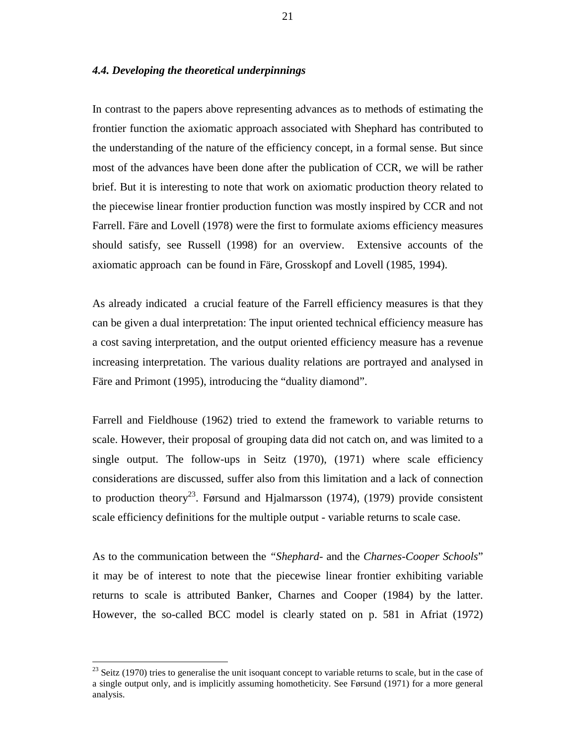#### *4.4. Developing the theoretical underpinnings*

In contrast to the papers above representing advances as to methods of estimating the frontier function the axiomatic approach associated with Shephard has contributed to the understanding of the nature of the efficiency concept, in a formal sense. But since most of the advances have been done after the publication of CCR, we will be rather brief. But it is interesting to note that work on axiomatic production theory related to the piecewise linear frontier production function was mostly inspired by CCR and not Farrell. Färe and Lovell (1978) were the first to formulate axioms efficiency measures should satisfy, see Russell (1998) for an overview. Extensive accounts of the axiomatic approach can be found in Färe, Grosskopf and Lovell (1985, 1994).

As already indicated a crucial feature of the Farrell efficiency measures is that they can be given a dual interpretation: The input oriented technical efficiency measure has a cost saving interpretation, and the output oriented efficiency measure has a revenue increasing interpretation. The various duality relations are portrayed and analysed in Färe and Primont (1995), introducing the "duality diamond".

Farrell and Fieldhouse (1962) tried to extend the framework to variable returns to scale. However, their proposal of grouping data did not catch on, and was limited to a single output. The follow-ups in Seitz (1970), (1971) where scale efficiency considerations are discussed, suffer also from this limitation and a lack of connection to production theory<sup>23</sup>. Førsund and Hjalmarsson (1974), (1979) provide consistent scale efficiency definitions for the multiple output - variable returns to scale case.

As to the communication between the *"Shephard*- and the *Charnes-Cooper Schools*" it may be of interest to note that the piecewise linear frontier exhibiting variable returns to scale is attributed Banker, Charnes and Cooper (1984) by the latter. However, the so-called BCC model is clearly stated on p. 581 in Afriat (1972)

 $^{23}$  Seitz (1970) tries to generalise the unit isoquant concept to variable returns to scale, but in the case of a single output only, and is implicitly assuming homotheticity. See Førsund (1971) for a more general analysis.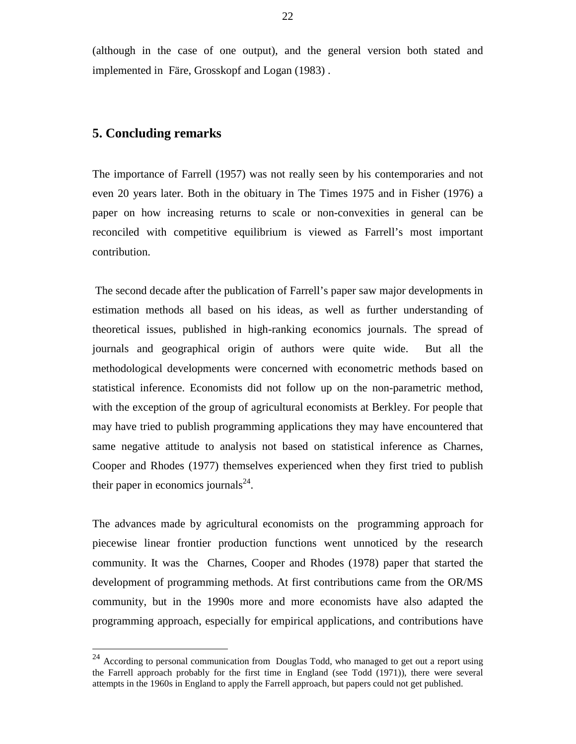(although in the case of one output), and the general version both stated and implemented in Färe, Grosskopf and Logan (1983) .

# **5. Concluding remarks**

 $\overline{a}$ 

The importance of Farrell (1957) was not really seen by his contemporaries and not even 20 years later. Both in the obituary in The Times 1975 and in Fisher (1976) a paper on how increasing returns to scale or non-convexities in general can be reconciled with competitive equilibrium is viewed as Farrell's most important contribution.

 The second decade after the publication of Farrell's paper saw major developments in estimation methods all based on his ideas, as well as further understanding of theoretical issues, published in high-ranking economics journals. The spread of journals and geographical origin of authors were quite wide. But all the methodological developments were concerned with econometric methods based on statistical inference. Economists did not follow up on the non-parametric method, with the exception of the group of agricultural economists at Berkley. For people that may have tried to publish programming applications they may have encountered that same negative attitude to analysis not based on statistical inference as Charnes, Cooper and Rhodes (1977) themselves experienced when they first tried to publish their paper in economics journals $^{24}$ .

The advances made by agricultural economists on the programming approach for piecewise linear frontier production functions went unnoticed by the research community. It was the Charnes, Cooper and Rhodes (1978) paper that started the development of programming methods. At first contributions came from the OR/MS community, but in the 1990s more and more economists have also adapted the programming approach, especially for empirical applications, and contributions have

 $24$  According to personal communication from Douglas Todd, who managed to get out a report using the Farrell approach probably for the first time in England (see Todd (1971)), there were several attempts in the 1960s in England to apply the Farrell approach, but papers could not get published.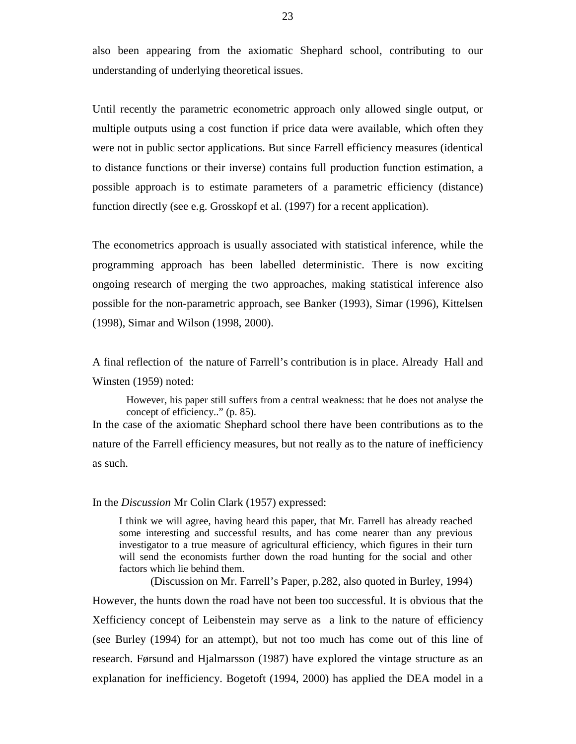also been appearing from the axiomatic Shephard school, contributing to our understanding of underlying theoretical issues.

Until recently the parametric econometric approach only allowed single output, or multiple outputs using a cost function if price data were available, which often they were not in public sector applications. But since Farrell efficiency measures (identical to distance functions or their inverse) contains full production function estimation, a possible approach is to estimate parameters of a parametric efficiency (distance) function directly (see e.g. Grosskopf et al. (1997) for a recent application).

The econometrics approach is usually associated with statistical inference, while the programming approach has been labelled deterministic. There is now exciting ongoing research of merging the two approaches, making statistical inference also possible for the non-parametric approach, see Banker (1993), Simar (1996), Kittelsen (1998), Simar and Wilson (1998, 2000).

A final reflection of the nature of Farrell's contribution is in place. Already Hall and Winsten (1959) noted:

However, his paper still suffers from a central weakness: that he does not analyse the concept of efficiency.." (p. 85). In the case of the axiomatic Shephard school there have been contributions as to the

nature of the Farrell efficiency measures, but not really as to the nature of inefficiency as such.

In the *Discussion* Mr Colin Clark (1957) expressed:

I think we will agree, having heard this paper, that Mr. Farrell has already reached some interesting and successful results, and has come nearer than any previous investigator to a true measure of agricultural efficiency, which figures in their turn will send the economists further down the road hunting for the social and other factors which lie behind them.

(Discussion on Mr. Farrell's Paper, p.282, also quoted in Burley, 1994)

However, the hunts down the road have not been too successful. It is obvious that the Xefficiency concept of Leibenstein may serve as a link to the nature of efficiency (see Burley (1994) for an attempt), but not too much has come out of this line of research. Førsund and Hjalmarsson (1987) have explored the vintage structure as an explanation for inefficiency. Bogetoft (1994, 2000) has applied the DEA model in a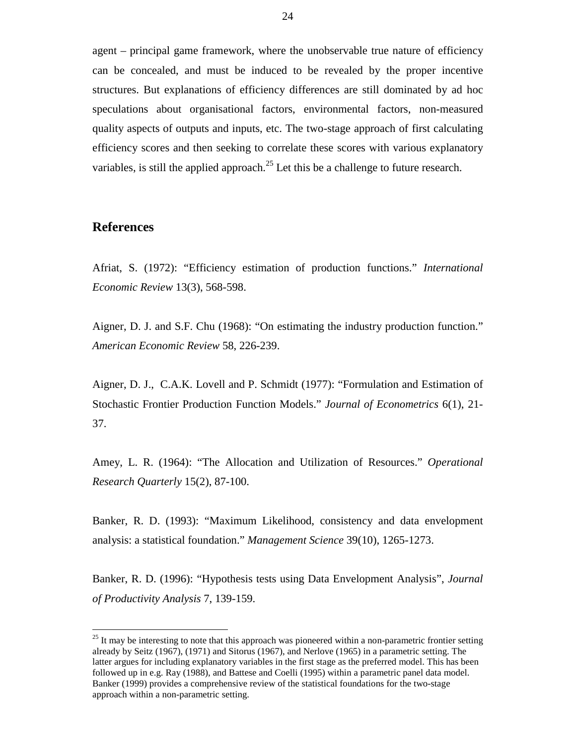agent – principal game framework, where the unobservable true nature of efficiency can be concealed, and must be induced to be revealed by the proper incentive structures. But explanations of efficiency differences are still dominated by ad hoc speculations about organisational factors, environmental factors, non-measured quality aspects of outputs and inputs, etc. The two-stage approach of first calculating efficiency scores and then seeking to correlate these scores with various explanatory variables, is still the applied approach.<sup>25</sup> Let this be a challenge to future research.

## **References**

 $\overline{a}$ 

Afriat, S. (1972): "Efficiency estimation of production functions." *International Economic Review* 13(3), 568-598.

Aigner, D. J. and S.F. Chu (1968): "On estimating the industry production function." *American Economic Review* 58, 226-239.

Aigner, D. J., C.A.K. Lovell and P. Schmidt (1977): "Formulation and Estimation of Stochastic Frontier Production Function Models." *Journal of Econometrics* 6(1), 21- 37.

Amey, L. R. (1964): "The Allocation and Utilization of Resources." *Operational Research Quarterly* 15(2), 87-100.

Banker, R. D. (1993): "Maximum Likelihood, consistency and data envelopment analysis: a statistical foundation." *Management Science* 39(10), 1265-1273.

Banker, R. D. (1996): "Hypothesis tests using Data Envelopment Analysis", *Journal of Productivity Analysis* 7, 139-159.

 $25$  It may be interesting to note that this approach was pioneered within a non-parametric frontier setting already by Seitz (1967), (1971) and Sitorus (1967), and Nerlove (1965) in a parametric setting. The latter argues for including explanatory variables in the first stage as the preferred model. This has been followed up in e.g. Ray (1988), and Battese and Coelli (1995) within a parametric panel data model. Banker (1999) provides a comprehensive review of the statistical foundations for the two-stage approach within a non-parametric setting.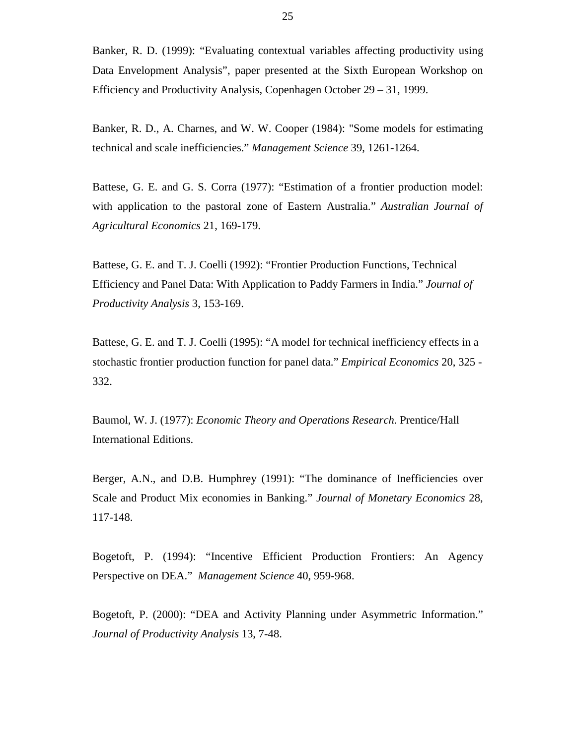Banker, R. D. (1999): "Evaluating contextual variables affecting productivity using Data Envelopment Analysis", paper presented at the Sixth European Workshop on Efficiency and Productivity Analysis, Copenhagen October 29 – 31, 1999.

Banker, R. D., A. Charnes, and W. W. Cooper (1984): "Some models for estimating technical and scale inefficiencies." *Management Science* 39, 1261-1264.

Battese, G. E. and G. S. Corra (1977): "Estimation of a frontier production model: with application to the pastoral zone of Eastern Australia." *Australian Journal of Agricultural Economics* 21, 169-179.

Battese, G. E. and T. J. Coelli (1992): "Frontier Production Functions, Technical Efficiency and Panel Data: With Application to Paddy Farmers in India." *Journal of Productivity Analysis* 3, 153-169.

Battese, G. E. and T. J. Coelli (1995): "A model for technical inefficiency effects in a stochastic frontier production function for panel data." *Empirical Economics* 20, 325 - 332.

Baumol, W. J. (1977): *Economic Theory and Operations Research*. Prentice/Hall International Editions.

Berger, A.N., and D.B. Humphrey (1991): "The dominance of Inefficiencies over Scale and Product Mix economies in Banking." *Journal of Monetary Economics* 28, 117-148.

Bogetoft, P. (1994): "Incentive Efficient Production Frontiers: An Agency Perspective on DEA." *Management Science* 40, 959-968.

Bogetoft, P. (2000): "DEA and Activity Planning under Asymmetric Information." *Journal of Productivity Analysis* 13, 7-48.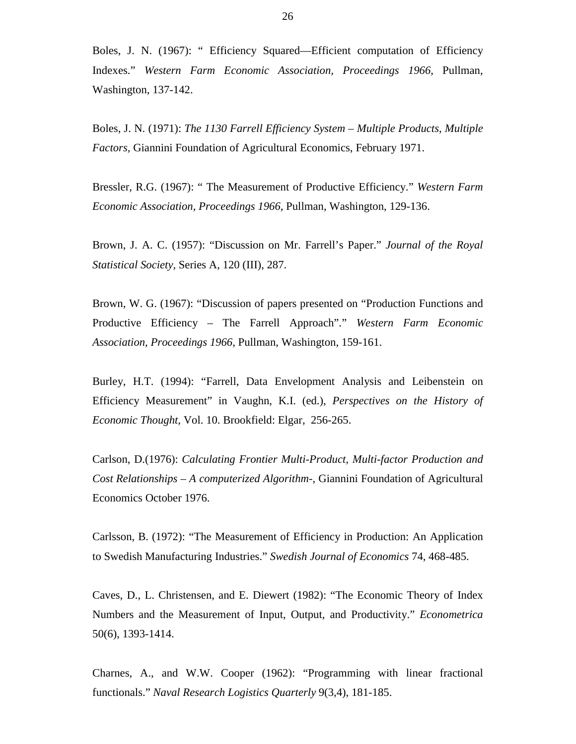Boles, J. N. (1967): " Efficiency Squared—Efficient computation of Efficiency Indexes." *Western Farm Economic Association, Proceedings 1966,* Pullman, Washington, 137-142.

Boles, J. N. (1971): *The 1130 Farrell Efficiency System – Multiple Products, Multiple Factors,* Giannini Foundation of Agricultural Economics, February 1971.

Bressler, R.G. (1967): " The Measurement of Productive Efficiency." *Western Farm Economic Association, Proceedings 1966*, Pullman, Washington, 129-136.

Brown, J. A. C. (1957): "Discussion on Mr. Farrell's Paper." *Journal of the Royal Statistical Society,* Series A, 120 (III), 287.

Brown, W. G. (1967): "Discussion of papers presented on "Production Functions and Productive Efficiency – The Farrell Approach"." *Western Farm Economic Association, Proceedings 1966*, Pullman, Washington, 159-161.

Burley, H.T. (1994): "Farrell, Data Envelopment Analysis and Leibenstein on Efficiency Measurement" in Vaughn, K.I. (ed.), *Perspectives on the History of Economic Thought*, Vol. 10. Brookfield: Elgar, 256-265.

Carlson, D.(1976): *Calculating Frontier Multi-Product, Multi-factor Production and Cost Relationships – A computerized Algorithm-*, Giannini Foundation of Agricultural Economics October 1976.

Carlsson, B. (1972): "The Measurement of Efficiency in Production: An Application to Swedish Manufacturing Industries." *Swedish Journal of Economics* 74, 468-485.

Caves, D., L. Christensen, and E. Diewert (1982): "The Economic Theory of Index Numbers and the Measurement of Input, Output, and Productivity." *Econometrica* 50(6), 1393-1414.

Charnes, A., and W.W. Cooper (1962): "Programming with linear fractional functionals." *Naval Research Logistics Quarterly* 9(3,4), 181-185.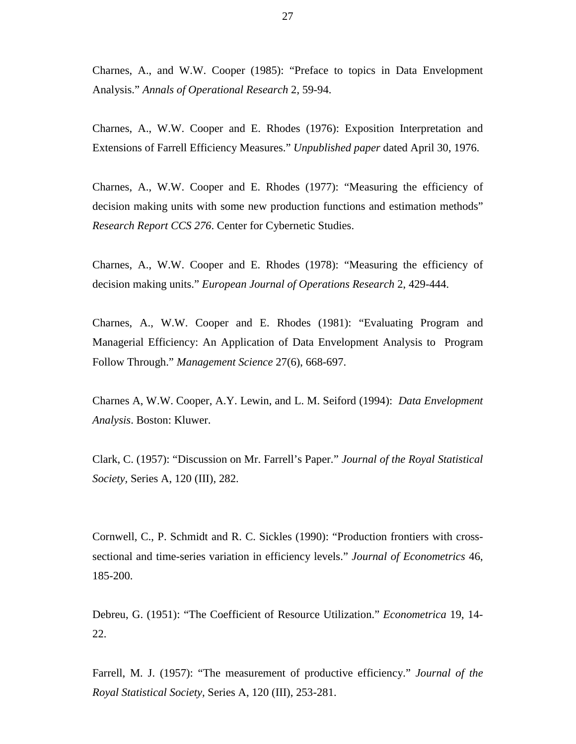Charnes, A., and W.W. Cooper (1985): "Preface to topics in Data Envelopment Analysis." *Annals of Operational Research* 2, 59-94.

Charnes, A., W.W. Cooper and E. Rhodes (1976): Exposition Interpretation and Extensions of Farrell Efficiency Measures." *Unpublished paper* dated April 30, 1976.

Charnes, A., W.W. Cooper and E. Rhodes (1977): "Measuring the efficiency of decision making units with some new production functions and estimation methods" *Research Report CCS 276*. Center for Cybernetic Studies.

Charnes, A., W.W. Cooper and E. Rhodes (1978): "Measuring the efficiency of decision making units." *European Journal of Operations Research* 2, 429-444.

Charnes, A., W.W. Cooper and E. Rhodes (1981): "Evaluating Program and Managerial Efficiency: An Application of Data Envelopment Analysis to Program Follow Through." *Management Science* 27(6), 668-697.

Charnes A, W.W. Cooper, A.Y. Lewin, and L. M. Seiford (1994): *Data Envelopment Analysis*. Boston: Kluwer.

Clark, C. (1957): "Discussion on Mr. Farrell's Paper." *Journal of the Royal Statistical Society,* Series A, 120 (III), 282.

Cornwell, C., P. Schmidt and R. C. Sickles (1990): "Production frontiers with crosssectional and time-series variation in efficiency levels." *Journal of Econometrics* 46, 185-200.

Debreu, G. (1951): "The Coefficient of Resource Utilization." *Econometrica* 19, 14- 22.

Farrell, M. J. (1957): "The measurement of productive efficiency." *Journal of the Royal Statistical Society,* Series A, 120 (III), 253-281.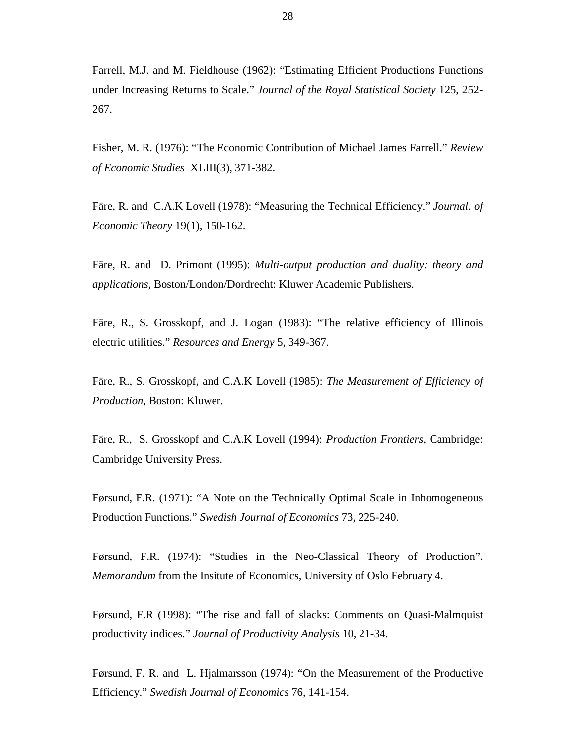Farrell, M.J. and M. Fieldhouse (1962): "Estimating Efficient Productions Functions under Increasing Returns to Scale." *Journal of the Royal Statistical Society* 125, 252- 267.

Fisher, M. R. (1976): "The Economic Contribution of Michael James Farrell." *Review of Economic Studies* XLIII(3), 371-382.

Färe, R. and C.A.K Lovell (1978): "Measuring the Technical Efficiency." *Journal. of Economic Theory* 19(1), 150-162.

Färe, R. and D. Primont (1995): *Multi-output production and duality: theory and applications*, Boston/London/Dordrecht: Kluwer Academic Publishers.

Färe, R., S. Grosskopf, and J. Logan (1983): "The relative efficiency of Illinois electric utilities." *Resources and Energy* 5, 349-367.

Färe, R., S. Grosskopf, and C.A.K Lovell (1985): *The Measurement of Efficiency of Production*, Boston: Kluwer.

Färe, R., S. Grosskopf and C.A.K Lovell (1994): *Production Frontiers,* Cambridge: Cambridge University Press.

Førsund, F.R. (1971): "A Note on the Technically Optimal Scale in Inhomogeneous Production Functions." *Swedish Journal of Economics* 73, 225-240.

Førsund, F.R. (1974): "Studies in the Neo-Classical Theory of Production". *Memorandum* from the Insitute of Economics, University of Oslo February 4.

Førsund, F.R (1998): "The rise and fall of slacks: Comments on Quasi-Malmquist productivity indices." *Journal of Productivity Analysis* 10, 21-34.

Førsund, F. R. and L. Hjalmarsson (1974): "On the Measurement of the Productive Efficiency." *Swedish Journal of Economics* 76, 141-154.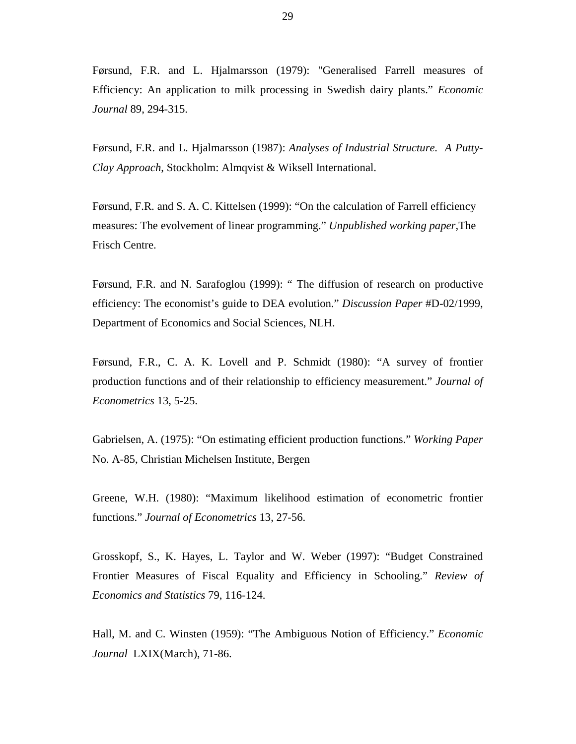Førsund, F.R. and L. Hjalmarsson (1979): "Generalised Farrell measures of Efficiency: An application to milk processing in Swedish dairy plants." *Economic Journal* 89, 294-315.

Førsund, F.R. and L. Hjalmarsson (1987): *Analyses of Industrial Structure. A Putty-Clay Approach*, Stockholm: Almqvist & Wiksell International.

Førsund, F.R. and S. A. C. Kittelsen (1999): "On the calculation of Farrell efficiency measures: The evolvement of linear programming." *Unpublished working paper,*The Frisch Centre.

Førsund, F.R. and N. Sarafoglou (1999): " The diffusion of research on productive efficiency: The economist's guide to DEA evolution." *Discussion Paper* #D-02/1999, Department of Economics and Social Sciences, NLH.

Førsund, F.R., C. A. K. Lovell and P. Schmidt (1980): "A survey of frontier production functions and of their relationship to efficiency measurement." *Journal of Econometrics* 13, 5-25.

Gabrielsen, A. (1975): "On estimating efficient production functions." *Working Paper* No. A-85, Christian Michelsen Institute, Bergen

Greene, W.H. (1980): "Maximum likelihood estimation of econometric frontier functions." *Journal of Econometrics* 13, 27-56.

Grosskopf, S., K. Hayes, L. Taylor and W. Weber (1997): "Budget Constrained Frontier Measures of Fiscal Equality and Efficiency in Schooling." *Review of Economics and Statistics* 79, 116-124.

Hall, M. and C. Winsten (1959): "The Ambiguous Notion of Efficiency." *Economic Journal* LXIX(March), 71-86.

29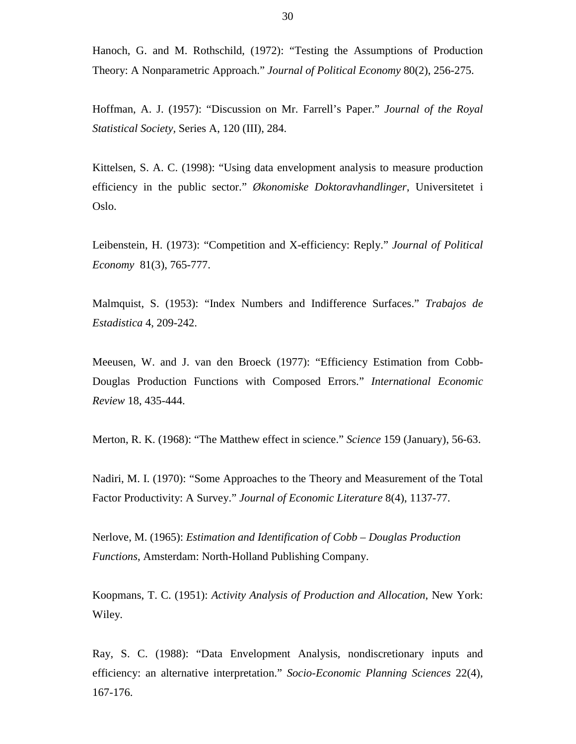Hanoch, G. and M. Rothschild, (1972): "Testing the Assumptions of Production Theory: A Nonparametric Approach." *Journal of Political Economy* 80(2), 256-275.

Hoffman, A. J. (1957): "Discussion on Mr. Farrell's Paper." *Journal of the Royal Statistical Society,* Series A, 120 (III), 284.

Kittelsen, S. A. C. (1998): "Using data envelopment analysis to measure production efficiency in the public sector." *Økonomiske Doktoravhandlinger*, Universitetet i Oslo.

Leibenstein, H. (1973): "Competition and X-efficiency: Reply." *Journal of Political Economy* 81(3), 765-777.

Malmquist, S. (1953): "Index Numbers and Indifference Surfaces." *Trabajos de Estadistica* 4, 209-242.

Meeusen, W. and J. van den Broeck (1977): "Efficiency Estimation from Cobb-Douglas Production Functions with Composed Errors." *International Economic Review* 18, 435-444.

Merton, R. K. (1968): "The Matthew effect in science." *Science* 159 (January), 56-63.

Nadiri, M. I. (1970): "Some Approaches to the Theory and Measurement of the Total Factor Productivity: A Survey." *Journal of Economic Literature* 8(4), 1137-77.

Nerlove, M. (1965): *Estimation and Identification of Cobb – Douglas Production Functions*, Amsterdam: North-Holland Publishing Company.

Koopmans, T. C. (1951): *Activity Analysis of Production and Allocation*, New York: Wiley.

Ray, S. C. (1988): "Data Envelopment Analysis, nondiscretionary inputs and efficiency: an alternative interpretation." *Socio-Economic Planning Sciences* 22(4), 167-176.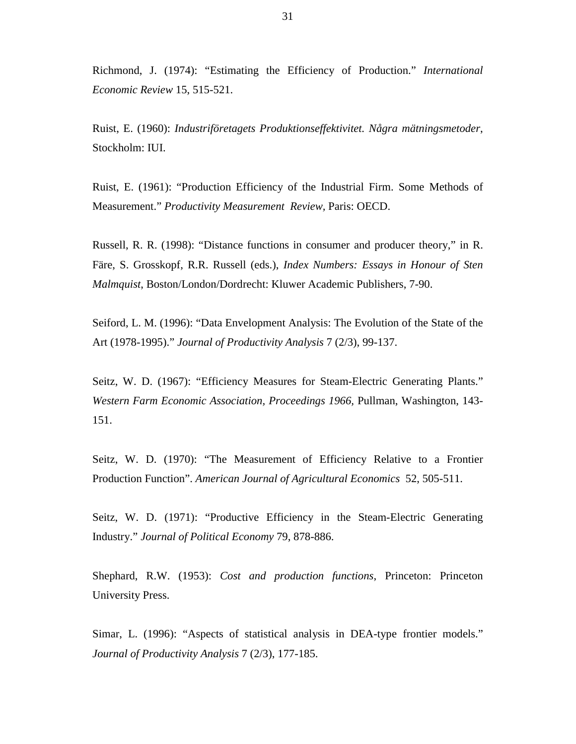Richmond, J. (1974): "Estimating the Efficiency of Production." *International Economic Review* 15, 515-521.

Ruist, E. (1960): *Industriföretagets Produktionseffektivitet. Några mätningsmetoder*, Stockholm: IUI.

Ruist, E. (1961): "Production Efficiency of the Industrial Firm. Some Methods of Measurement." *Productivity Measurement Review,* Paris: OECD.

Russell, R. R. (1998): "Distance functions in consumer and producer theory," in R. Färe, S. Grosskopf, R.R. Russell (eds.), *Index Numbers: Essays in Honour of Sten Malmquist*, Boston/London/Dordrecht: Kluwer Academic Publishers, 7-90.

Seiford, L. M. (1996): "Data Envelopment Analysis: The Evolution of the State of the Art (1978-1995)." *Journal of Productivity Analysis* 7 (2/3), 99-137.

Seitz, W. D. (1967): "Efficiency Measures for Steam-Electric Generating Plants." *Western Farm Economic Association, Proceedings 1966,* Pullman, Washington, 143- 151.

Seitz, W. D. (1970): "The Measurement of Efficiency Relative to a Frontier Production Function". *American Journal of Agricultural Economics* 52, 505-511.

Seitz, W. D. (1971): "Productive Efficiency in the Steam-Electric Generating Industry." *Journal of Political Economy* 79, 878-886.

Shephard, R.W. (1953): *Cost and production functions*, Princeton: Princeton University Press.

Simar, L. (1996): "Aspects of statistical analysis in DEA-type frontier models." *Journal of Productivity Analysis* 7 (2/3), 177-185.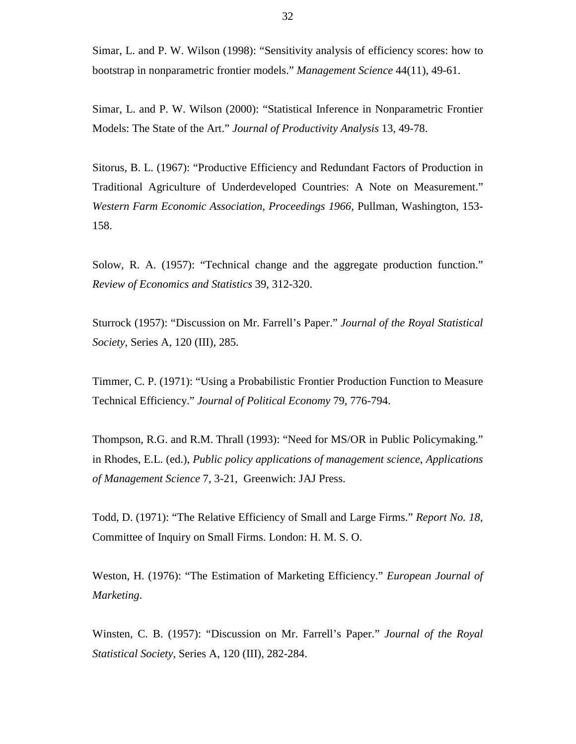Simar, L. and P. W. Wilson (1998): "Sensitivity analysis of efficiency scores: how to bootstrap in nonparametric frontier models." *Management Science* 44(11), 49-61.

Simar, L. and P. W. Wilson (2000): "Statistical Inference in Nonparametric Frontier Models: The State of the Art." *Journal of Productivity Analysis* 13, 49-78.

Sitorus, B. L. (1967): "Productive Efficiency and Redundant Factors of Production in Traditional Agriculture of Underdeveloped Countries: A Note on Measurement." *Western Farm Economic Association, Proceedings 1966,* Pullman, Washington, 153- 158.

Solow, R. A. (1957): "Technical change and the aggregate production function." *Review of Economics and Statistics* 39, 312-320.

Sturrock (1957): "Discussion on Mr. Farrell's Paper." *Journal of the Royal Statistical Society,* Series A, 120 (III), 285.

Timmer, C. P. (1971): "Using a Probabilistic Frontier Production Function to Measure Technical Efficiency." *Journal of Political Economy* 79, 776-794.

Thompson, R.G. and R.M. Thrall (1993): "Need for MS/OR in Public Policymaking." in Rhodes, E.L. (ed.), *Public policy applications of management science*, *Applications of Management Science* 7, 3-21, Greenwich: JAJ Press.

Todd, D. (1971): "The Relative Efficiency of Small and Large Firms." *Report No. 18*, Committee of Inquiry on Small Firms. London: H. M. S. O.

Weston, H. (1976): "The Estimation of Marketing Efficiency." *European Journal of Marketing*.

Winsten, C. B. (1957): "Discussion on Mr. Farrell's Paper." *Journal of the Royal Statistical Society,* Series A, 120 (III), 282-284.